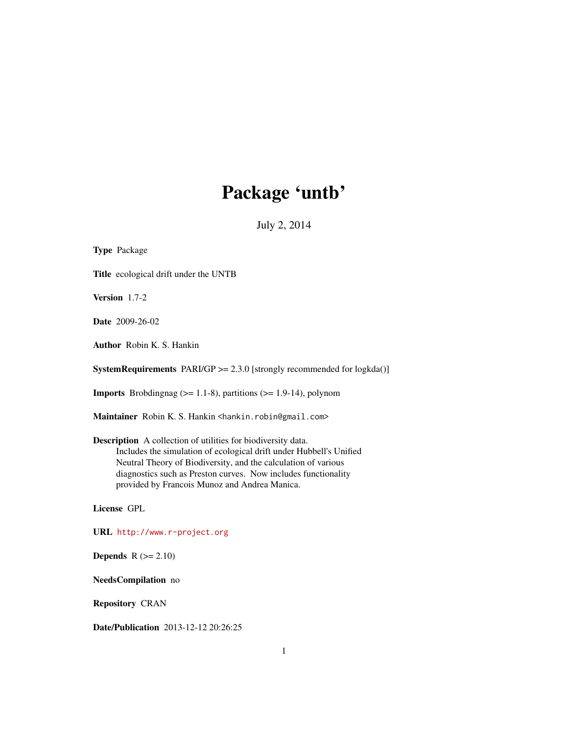# Package 'untb'

July 2, 2014

Type Package Title ecological drift under the UNTB Version 1.7-2 Date 2009-26-02 Author Robin K. S. Hankin **SystemRequirements** PARI/GP  $>= 2.3.0$  [strongly recommended for logkda()] **Imports** Brobdingnag  $(>= 1.1-8)$ , partitions  $(>= 1.9-14)$ , polynom Maintainer Robin K. S. Hankin <hankin.robin@gmail.com> Description A collection of utilities for biodiversity data. Includes the simulation of ecological drift under Hubbell's Unified Neutral Theory of Biodiversity, and the calculation of various diagnostics such as Preston curves. Now includes functionality provided by Francois Munoz and Andrea Manica. License GPL URL <http://www.r-project.org> **Depends**  $R$  ( $>= 2.10$ ) NeedsCompilation no Repository CRAN Date/Publication 2013-12-12 20:26:25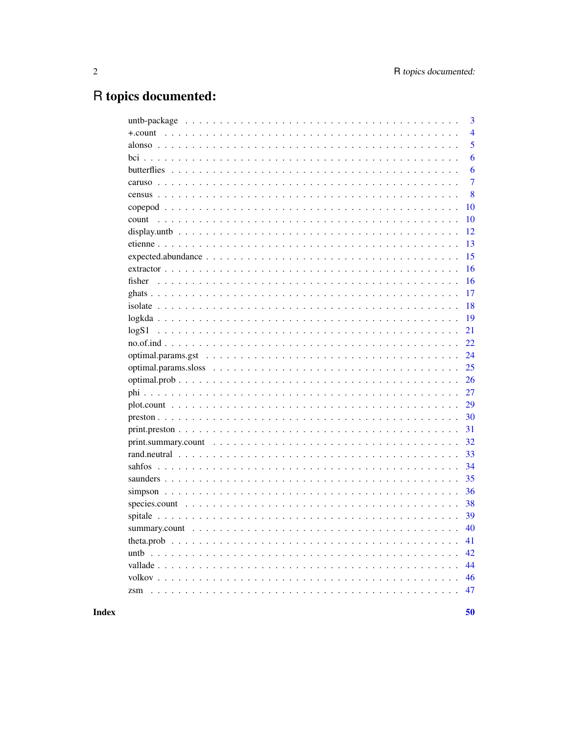# R topics documented:

|         | 3              |
|---------|----------------|
| +.count | $\overline{4}$ |
|         | 5              |
|         | 6              |
|         | 6              |
|         | $\overline{7}$ |
|         | 8              |
|         | 10             |
| count   | 10             |
|         | 12             |
|         | 13             |
|         | 15             |
|         | 16             |
|         | 16             |
|         | 17             |
|         | 18             |
|         | 19             |
| logS1   | 21             |
|         | 22             |
|         | 24             |
|         | 25             |
|         | 26             |
|         | 27             |
|         | 29             |
|         | 30             |
|         | 31             |
|         | 32             |
|         | 33             |
|         | 34             |
|         | 35             |
|         | 36             |
|         | 38             |
|         | 39             |
|         | 40             |
|         | 41             |
|         | 42             |
|         | 44             |
|         | 46             |
|         | 47             |
|         |                |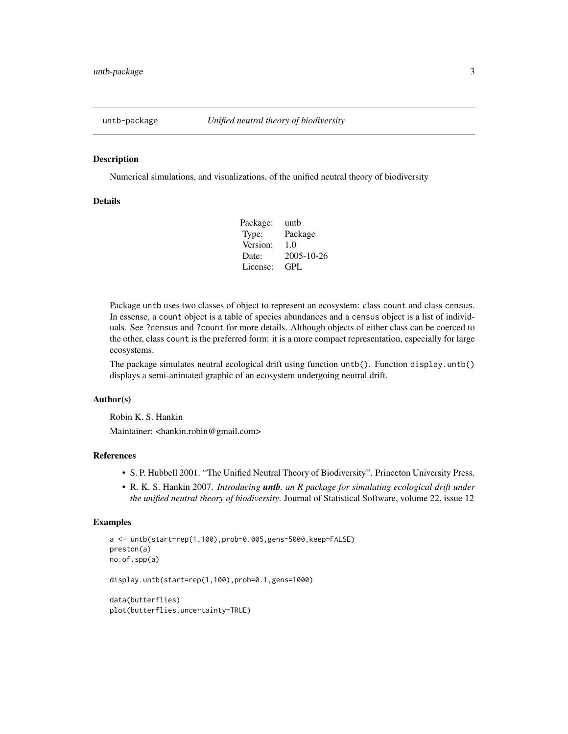<span id="page-2-0"></span>

Numerical simulations, and visualizations, of the unified neutral theory of biodiversity

## **Details**

| untb             |
|------------------|
| Package          |
| 1.0              |
| $2005 - 10 - 26$ |
| GPL.             |
|                  |

Package untb uses two classes of object to represent an ecosystem: class count and class census. In essense, a count object is a table of species abundances and a census object is a list of individuals. See ?census and ?count for more details. Although objects of either class can be coerced to the other, class count is the preferred form: it is a more compact representation, especially for large ecosystems.

The package simulates neutral ecological drift using function untb(). Function display.untb() displays a semi-animated graphic of an ecosystem undergoing neutral drift.

## Author(s)

Robin K. S. Hankin

Maintainer: <hankin.robin@gmail.com>

## References

- S. P. Hubbell 2001. "The Unified Neutral Theory of Biodiversity". Princeton University Press.
- R. K. S. Hankin 2007. *Introducing untb, an R package for simulating ecological drift under the unified neutral theory of biodiversity*. Journal of Statistical Software, volume 22, issue 12

```
a <- untb(start=rep(1,100),prob=0.005,gens=5000,keep=FALSE)
preston(a)
no.of.spp(a)
display.untb(start=rep(1,100),prob=0.1,gens=1000)
data(butterflies)
plot(butterflies,uncertainty=TRUE)
```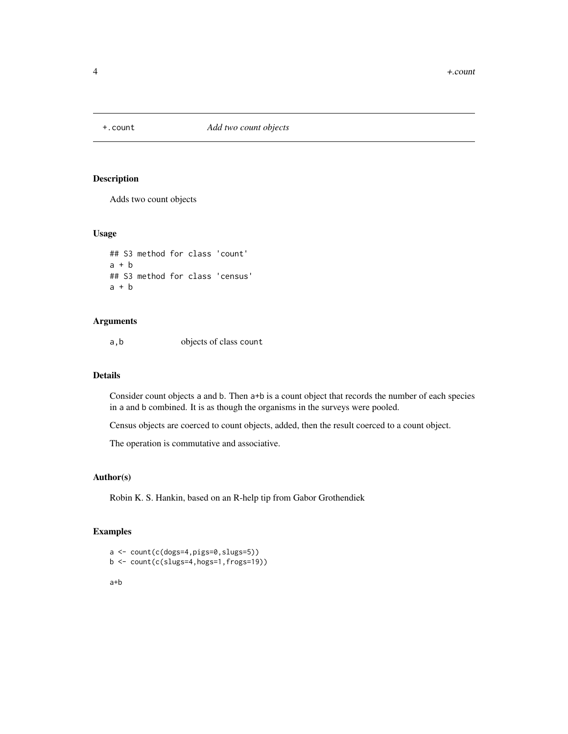<span id="page-3-0"></span>

Adds two count objects

## Usage

```
## S3 method for class 'count'
a + b## S3 method for class 'census'
a + b
```
## Arguments

a,b objects of class count

## Details

Consider count objects a and b. Then a+b is a count object that records the number of each species in a and b combined. It is as though the organisms in the surveys were pooled.

Census objects are coerced to count objects, added, then the result coerced to a count object.

The operation is commutative and associative.

#### Author(s)

Robin K. S. Hankin, based on an R-help tip from Gabor Grothendiek

## Examples

```
a <- count(c(dogs=4,pigs=0,slugs=5))
b <- count(c(slugs=4,hogs=1,frogs=19))
```
a+b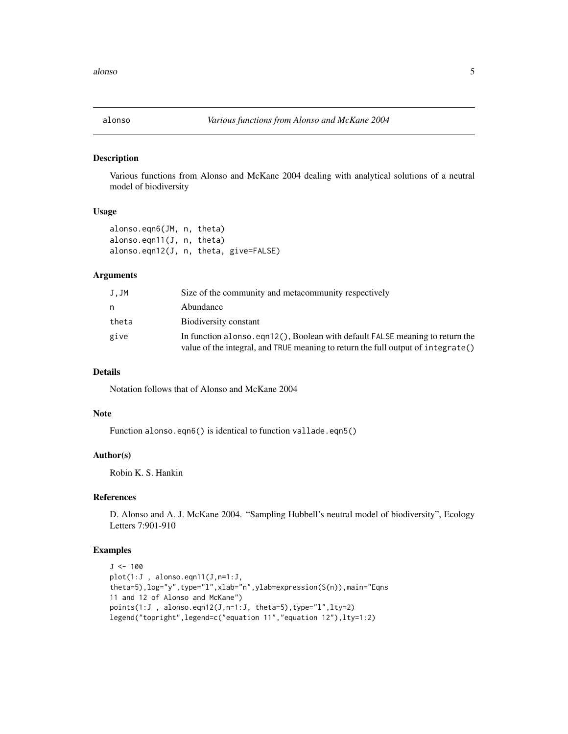<span id="page-4-0"></span>

Various functions from Alonso and McKane 2004 dealing with analytical solutions of a neutral model of biodiversity

#### Usage

```
alonso.eqn6(JM, n, theta)
alonso.eqn11(J, n, theta)
alonso.eqn12(J, n, theta, give=FALSE)
```
## Arguments

| J.JM  | Size of the community and metacommunity respectively                                                                                                              |
|-------|-------------------------------------------------------------------------------------------------------------------------------------------------------------------|
| n     | Abundance                                                                                                                                                         |
| theta | Biodiversity constant                                                                                                                                             |
| give  | In function alonso, eqn12(), Boolean with default FALSE meaning to return the<br>value of the integral, and TRUE meaning to return the full output of integrate() |

## Details

Notation follows that of Alonso and McKane 2004

## Note

Function alonso.eqn6() is identical to function vallade.eqn5()

## Author(s)

Robin K. S. Hankin

## References

D. Alonso and A. J. McKane 2004. "Sampling Hubbell's neutral model of biodiversity", Ecology Letters 7:901-910

```
J < -100plot(1:J , alonso.eqn11(J,n=1:J,
theta=5),log="y",type="l",xlab="n",ylab=expression(S(n)),main="Eqns
11 and 12 of Alonso and McKane")
points(1:J , alonso.eqn12(J,n=1:J, theta=5),type="l",lty=2)
legend("topright",legend=c("equation 11","equation 12"),lty=1:2)
```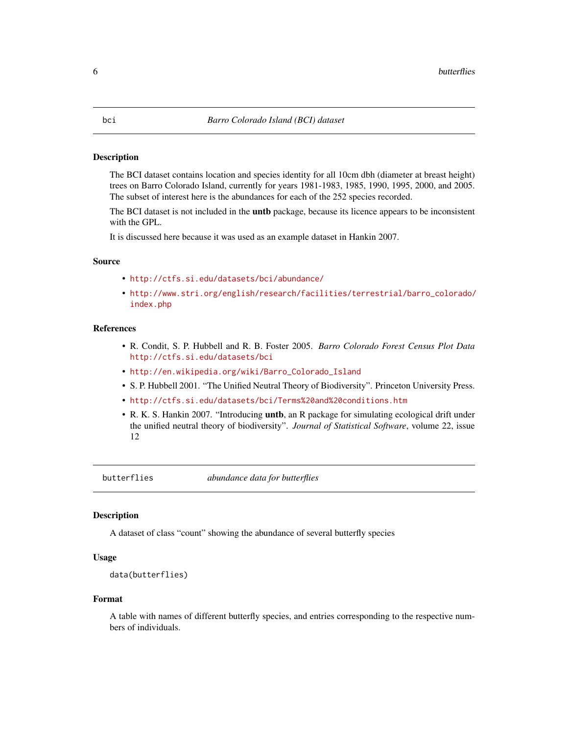<span id="page-5-0"></span>The BCI dataset contains location and species identity for all 10cm dbh (diameter at breast height) trees on Barro Colorado Island, currently for years 1981-1983, 1985, 1990, 1995, 2000, and 2005. The subset of interest here is the abundances for each of the 252 species recorded.

The BCI dataset is not included in the **untb** package, because its licence appears to be inconsistent with the GPL.

It is discussed here because it was used as an example dataset in Hankin 2007.

#### Source

- <http://ctfs.si.edu/datasets/bci/abundance/>
- [http://www.stri.org/english/research/facilities/terrestrial/barro\\_colorado/](http://www.stri.org/english/research/facilities/terrestrial/barro_colorado/index.php) [index.php](http://www.stri.org/english/research/facilities/terrestrial/barro_colorado/index.php)

## References

- R. Condit, S. P. Hubbell and R. B. Foster 2005. *Barro Colorado Forest Census Plot Data* <http://ctfs.si.edu/datasets/bci>
- [http://en.wikipedia.org/wiki/Barro\\_Colorado\\_Island](http://en.wikipedia.org/wiki/Barro_Colorado_Island)
- S. P. Hubbell 2001. "The Unified Neutral Theory of Biodiversity". Princeton University Press.
- <http://ctfs.si.edu/datasets/bci/Terms%20and%20conditions.htm>
- R. K. S. Hankin 2007. "Introducing untb, an R package for simulating ecological drift under the unified neutral theory of biodiversity". *Journal of Statistical Software*, volume 22, issue 12

butterflies *abundance data for butterflies*

## Description

A dataset of class "count" showing the abundance of several butterfly species

#### Usage

```
data(butterflies)
```
#### Format

A table with names of different butterfly species, and entries corresponding to the respective numbers of individuals.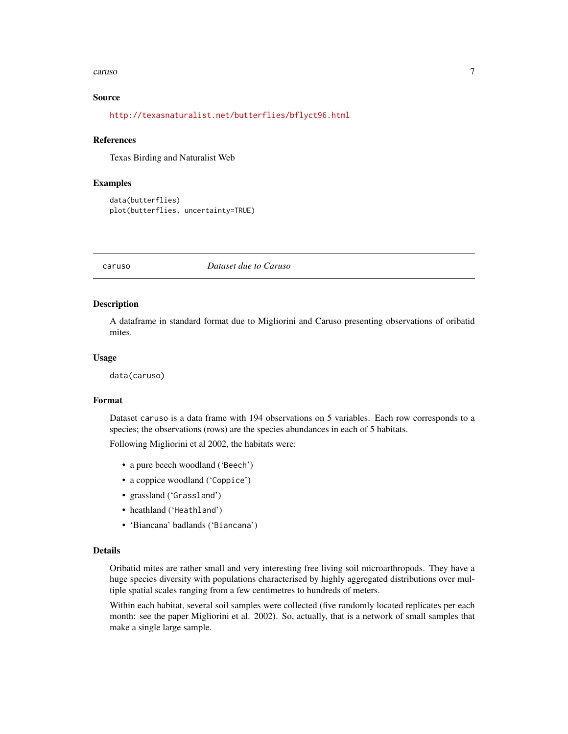#### <span id="page-6-0"></span>caruso and the contract of the contract of the contract of the contract of the contract of the contract of the contract of the contract of the contract of the contract of the contract of the contract of the contract of the

## Source

## <http://texasnaturalist.net/butterflies/bflyct96.html>

#### References

Texas Birding and Naturalist Web

#### Examples

```
data(butterflies)
plot(butterflies, uncertainty=TRUE)
```
caruso *Dataset due to Caruso*

#### Description

A dataframe in standard format due to Migliorini and Caruso presenting observations of oribatid mites.

#### Usage

data(caruso)

#### Format

Dataset caruso is a data frame with 194 observations on 5 variables. Each row corresponds to a species; the observations (rows) are the species abundances in each of 5 habitats.

Following Migliorini et al 2002, the habitats were:

- a pure beech woodland ('Beech')
- a coppice woodland ('Coppice')
- grassland ('Grassland')
- heathland ('Heathland')
- 'Biancana' badlands ('Biancana')

#### Details

Oribatid mites are rather small and very interesting free living soil microarthropods. They have a huge species diversity with populations characterised by highly aggregated distributions over multiple spatial scales ranging from a few centimetres to hundreds of meters.

Within each habitat, several soil samples were collected (five randomly located replicates per each month: see the paper Migliorini et al. 2002). So, actually, that is a network of small samples that make a single large sample.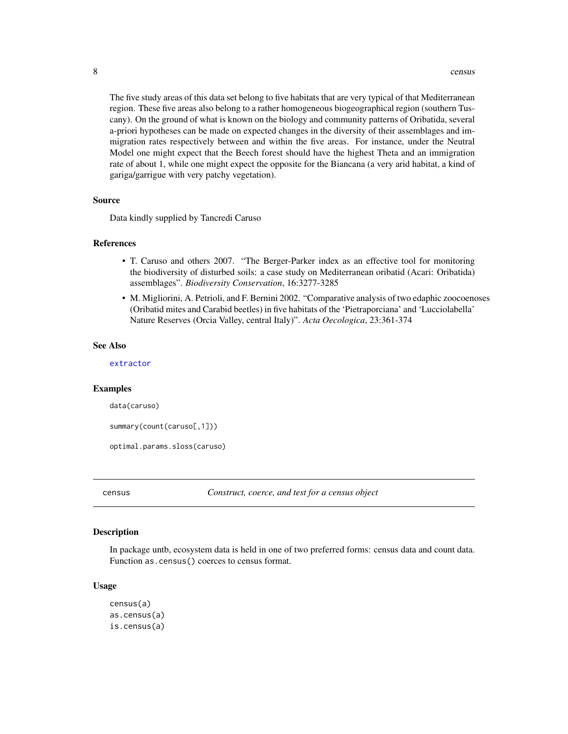<span id="page-7-0"></span>The five study areas of this data set belong to five habitats that are very typical of that Mediterranean region. These five areas also belong to a rather homogeneous biogeographical region (southern Tuscany). On the ground of what is known on the biology and community patterns of Oribatida, several a-priori hypotheses can be made on expected changes in the diversity of their assemblages and immigration rates respectively between and within the five areas. For instance, under the Neutral Model one might expect that the Beech forest should have the highest Theta and an immigration rate of about 1, while one might expect the opposite for the Biancana (a very arid habitat, a kind of gariga/garrigue with very patchy vegetation).

#### Source

Data kindly supplied by Tancredi Caruso

#### **References**

- T. Caruso and others 2007. "The Berger-Parker index as an effective tool for monitoring the biodiversity of disturbed soils: a case study on Mediterranean oribatid (Acari: Oribatida) assemblages". *Biodiversity Conservation*, 16:3277-3285
- M. Migliorini, A. Petrioli, and F. Bernini 2002. "Comparative analysis of two edaphic zoocoenoses (Oribatid mites and Carabid beetles) in five habitats of the 'Pietraporciana' and 'Lucciolabella' Nature Reserves (Orcia Valley, central Italy)". *Acta Oecologica*, 23:361-374

#### See Also

[extractor](#page-15-1)

#### Examples

data(caruso)

```
summary(count(caruso[,1]))
```
optimal.params.sloss(caruso)

<span id="page-7-1"></span>census *Construct, coerce, and test for a census object*

#### **Description**

In package untb, ecosystem data is held in one of two preferred forms: census data and count data. Function as.census() coerces to census format.

#### Usage

```
census(a)
as.census(a)
is.census(a)
```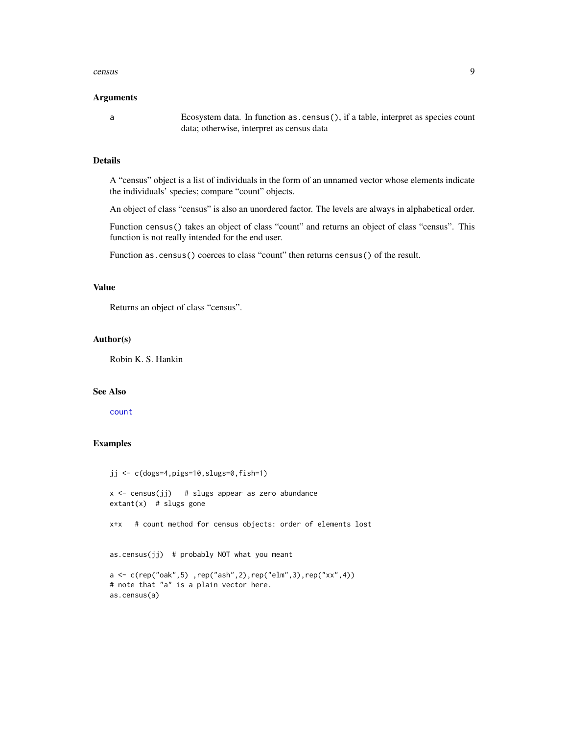#### <span id="page-8-0"></span>census 9

#### Arguments

a Ecosystem data. In function as.census(), if a table, interpret as species count data; otherwise, interpret as census data

## Details

A "census" object is a list of individuals in the form of an unnamed vector whose elements indicate the individuals' species; compare "count" objects.

An object of class "census" is also an unordered factor. The levels are always in alphabetical order.

Function census() takes an object of class "count" and returns an object of class "census". This function is not really intended for the end user.

Function as.census() coerces to class "count" then returns census() of the result.

## Value

Returns an object of class "census".

#### Author(s)

Robin K. S. Hankin

## See Also

[count](#page-9-1)

```
jj <- c(dogs=4,pigs=10,slugs=0,fish=1)
x \le -census(jj) # slugs appear as zero abundance
extant(x) # slugs gone
x+x # count method for census objects: order of elements lost
as.census(jj) # probably NOT what you meant
a <- c(rep("oak",5) ,rep("ash",2),rep("elm",3),rep("xx",4))
# note that "a" is a plain vector here.
as.census(a)
```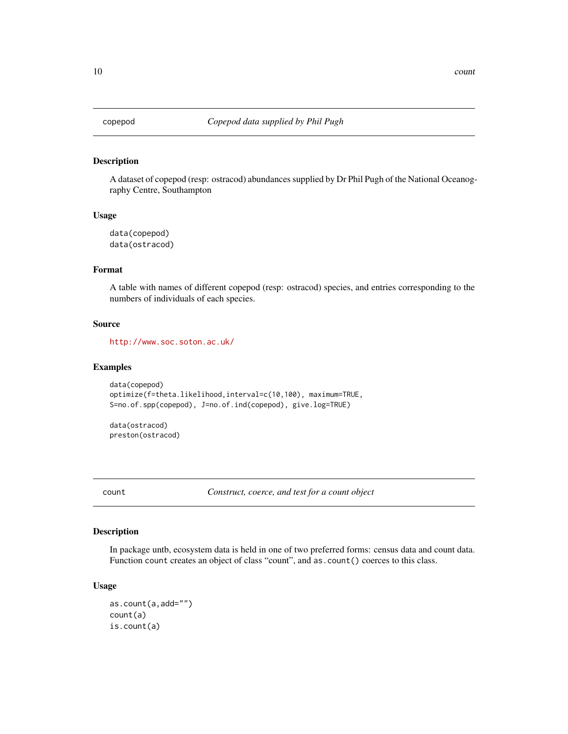<span id="page-9-0"></span>

A dataset of copepod (resp: ostracod) abundances supplied by Dr Phil Pugh of the National Oceanography Centre, Southampton

#### Usage

data(copepod) data(ostracod)

## Format

A table with names of different copepod (resp: ostracod) species, and entries corresponding to the numbers of individuals of each species.

#### Source

<http://www.soc.soton.ac.uk/>

## Examples

```
data(copepod)
optimize(f=theta.likelihood,interval=c(10,100), maximum=TRUE,
S=no.of.spp(copepod), J=no.of.ind(copepod), give.log=TRUE)
```
data(ostracod) preston(ostracod)

<span id="page-9-1"></span>count *Construct, coerce, and test for a count object*

## Description

In package untb, ecosystem data is held in one of two preferred forms: census data and count data. Function count creates an object of class "count", and as.count() coerces to this class.

#### Usage

```
as.count(a,add="")
count(a)
is.count(a)
```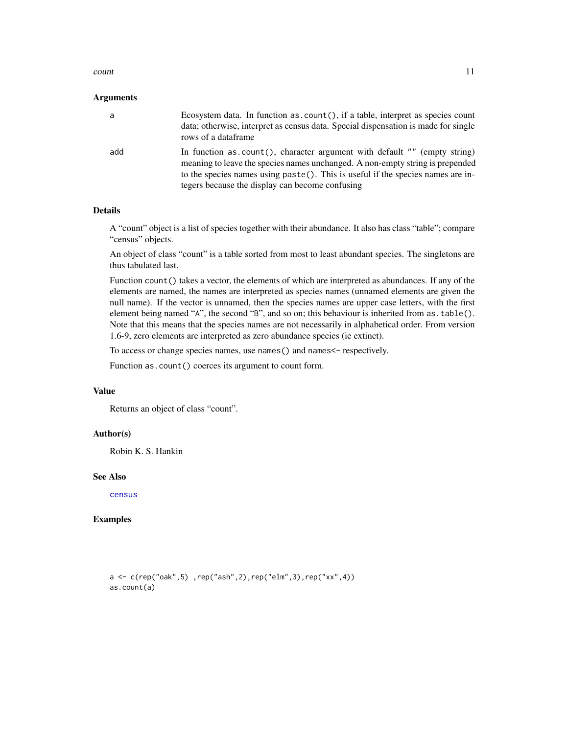#### <span id="page-10-0"></span>count 11

#### **Arguments**

| a   | Ecosystem data. In function as .count (), if a table, interpret as species count<br>data; otherwise, interpret as census data. Special dispensation is made for single<br>rows of a dataframe                                                                                                       |
|-----|-----------------------------------------------------------------------------------------------------------------------------------------------------------------------------------------------------------------------------------------------------------------------------------------------------|
| add | In function as $count()$ , character argument with default "" (empty string)<br>meaning to leave the species names unchanged. A non-empty string is prepended<br>to the species names using paste(). This is useful if the species names are in-<br>tegers because the display can become confusing |

#### Details

A "count" object is a list of species together with their abundance. It also has class "table"; compare "census" objects.

An object of class "count" is a table sorted from most to least abundant species. The singletons are thus tabulated last.

Function count () takes a vector, the elements of which are interpreted as abundances. If any of the elements are named, the names are interpreted as species names (unnamed elements are given the null name). If the vector is unnamed, then the species names are upper case letters, with the first element being named "A", the second "B", and so on; this behaviour is inherited from as.table(). Note that this means that the species names are not necessarily in alphabetical order. From version 1.6-9, zero elements are interpreted as zero abundance species (ie extinct).

To access or change species names, use names() and names<- respectively.

Function as.count() coerces its argument to count form.

#### Value

Returns an object of class "count".

## Author(s)

Robin K. S. Hankin

#### See Also

[census](#page-7-1)

```
a <- c(rep("oak",5) ,rep("ash",2),rep("elm",3),rep("xx",4))
as.count(a)
```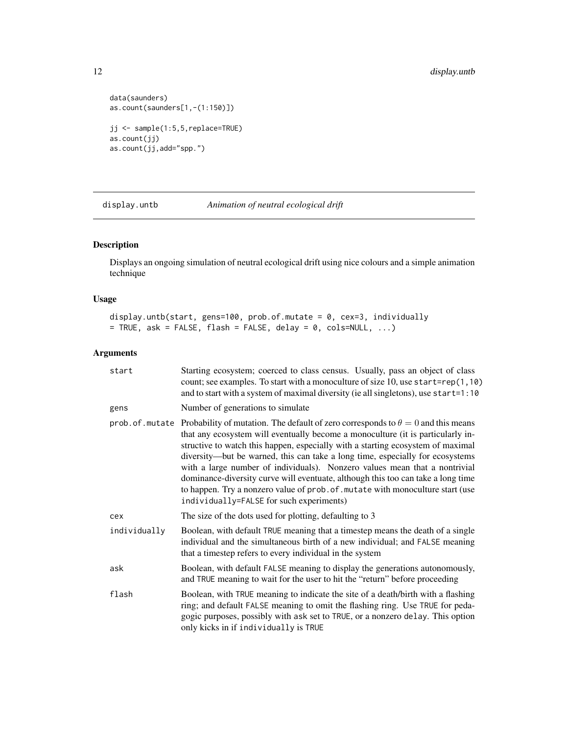```
data(saunders)
as.count(saunders[1,-(1:150)])
jj <- sample(1:5,5,replace=TRUE)
as.count(jj)
as.count(jj,add="spp.")
```
display.untb *Animation of neutral ecological drift*

## Description

Displays an ongoing simulation of neutral ecological drift using nice colours and a simple animation technique

#### Usage

display.untb(start, gens=100, prob.of.mutate = 0, cex=3, individually  $=$  TRUE, ask = FALSE, flash = FALSE, delay = 0, cols=NULL, ...)

## Arguments

| start        | Starting ecosystem; coerced to class census. Usually, pass an object of class<br>count; see examples. To start with a monoculture of size 10, use start=rep $(1, 10)$<br>and to start with a system of maximal diversity (ie all singletons), use start=1:10                                                                                                                                                                                                                                                                                                                                                                                                     |
|--------------|------------------------------------------------------------------------------------------------------------------------------------------------------------------------------------------------------------------------------------------------------------------------------------------------------------------------------------------------------------------------------------------------------------------------------------------------------------------------------------------------------------------------------------------------------------------------------------------------------------------------------------------------------------------|
| gens         | Number of generations to simulate                                                                                                                                                                                                                                                                                                                                                                                                                                                                                                                                                                                                                                |
|              | prob. of . mutate Probability of mutation. The default of zero corresponds to $\theta = 0$ and this means<br>that any ecosystem will eventually become a monoculture (it is particularly in-<br>structive to watch this happen, especially with a starting ecosystem of maximal<br>diversity—but be warned, this can take a long time, especially for ecosystems<br>with a large number of individuals). Nonzero values mean that a nontrivial<br>dominance-diversity curve will eventuate, although this too can take a long time<br>to happen. Try a nonzero value of prob. of. mutate with monoculture start (use<br>individually=FALSE for such experiments) |
| cex          | The size of the dots used for plotting, defaulting to 3                                                                                                                                                                                                                                                                                                                                                                                                                                                                                                                                                                                                          |
| individually | Boolean, with default TRUE meaning that a timestep means the death of a single<br>individual and the simultaneous birth of a new individual; and FALSE meaning<br>that a timestep refers to every individual in the system                                                                                                                                                                                                                                                                                                                                                                                                                                       |
| ask          | Boolean, with default FALSE meaning to display the generations autonomously,<br>and TRUE meaning to wait for the user to hit the "return" before proceeding                                                                                                                                                                                                                                                                                                                                                                                                                                                                                                      |
| flash        | Boolean, with TRUE meaning to indicate the site of a death/birth with a flashing<br>ring; and default FALSE meaning to omit the flashing ring. Use TRUE for peda-<br>gogic purposes, possibly with ask set to TRUE, or a nonzero delay. This option<br>only kicks in if individually is TRUE                                                                                                                                                                                                                                                                                                                                                                     |

<span id="page-11-0"></span>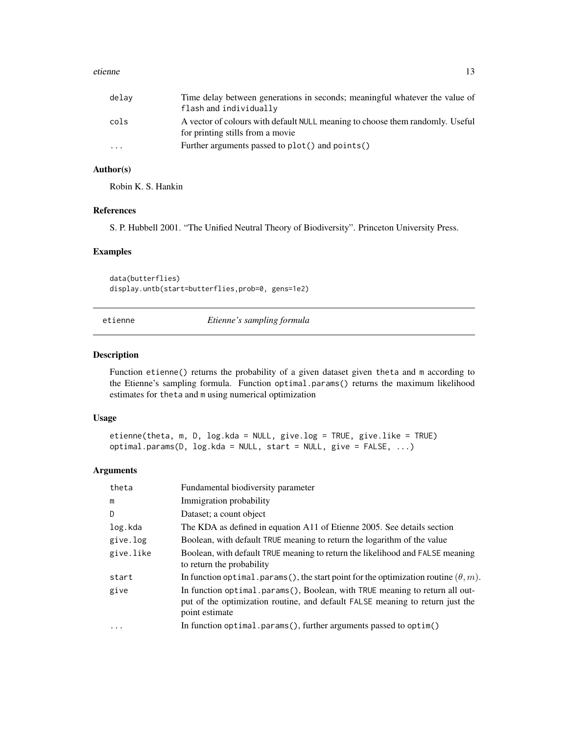#### <span id="page-12-0"></span>etienne aan de stel in de stel in de stel in de stel in de stel in de stel in de stel in de stel in de stel in<br>Tanton de la contradiction de la contradiction de la contradiction de la contradiction de la contradiction de

| delav     | Time delay between generations in seconds; meaningful whatever the value of<br>flash and individually             |
|-----------|-------------------------------------------------------------------------------------------------------------------|
| cols      | A vector of colours with default NULL meaning to choose them randomly. Useful<br>for printing stills from a movie |
| $\ddotsc$ | Further arguments passed to plot() and points()                                                                   |

## Author(s)

Robin K. S. Hankin

#### References

S. P. Hubbell 2001. "The Unified Neutral Theory of Biodiversity". Princeton University Press.

#### Examples

data(butterflies) display.untb(start=butterflies,prob=0, gens=1e2)

<span id="page-12-1"></span>

| etienne |
|---------|
|         |

etienne *Etienne's sampling formula*

#### <span id="page-12-2"></span>Description

Function etienne() returns the probability of a given dataset given theta and m according to the Etienne's sampling formula. Function optimal.params() returns the maximum likelihood estimates for theta and m using numerical optimization

## Usage

etienne(theta, m, D, log.kda = NULL, give.log = TRUE, give.like = TRUE) optimal.params(D, log.kda = NULL, start = NULL, give = FALSE, ...)

#### Arguments

| theta     | Fundamental biodiversity parameter                                                                                                                                             |
|-----------|--------------------------------------------------------------------------------------------------------------------------------------------------------------------------------|
| m         | Immigration probability                                                                                                                                                        |
| D         | Dataset; a count object                                                                                                                                                        |
| log.kda   | The KDA as defined in equation A11 of Etienne 2005. See details section                                                                                                        |
| give.log  | Boolean, with default TRUE meaning to return the logarithm of the value                                                                                                        |
| give.like | Boolean, with default TRUE meaning to return the likelihood and FALSE meaning<br>to return the probability                                                                     |
| start     | In function optimal. params (), the start point for the optimization routine $(\theta, m)$ .                                                                                   |
| give      | In function optimal.params(), Boolean, with TRUE meaning to return all out-<br>put of the optimization routine, and default FALSE meaning to return just the<br>point estimate |
| $\ddotsc$ | In function optimal.params(), further arguments passed to optim()                                                                                                              |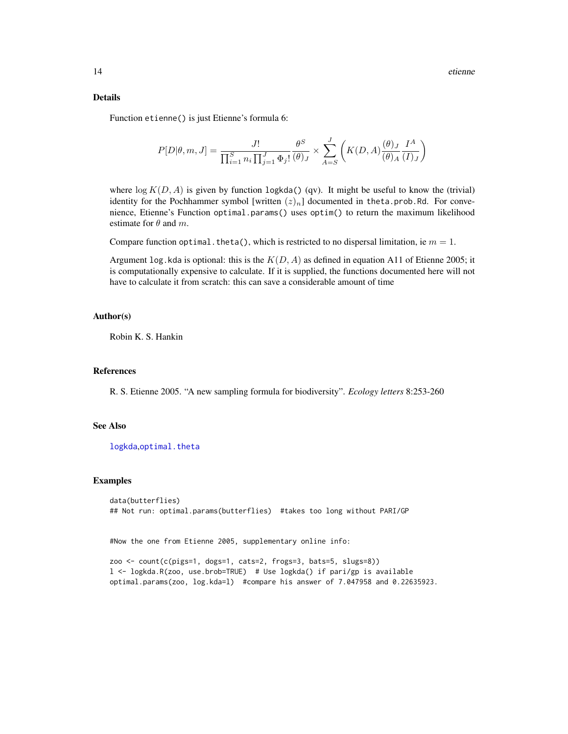#### <span id="page-13-0"></span>Details

Function etienne() is just Etienne's formula 6:

$$
P[D|\theta,m,J] = \frac{J!}{\prod_{i=1}^S n_i \prod_{j=1}^J \Phi_j!} \frac{\theta^S}{(\theta)_J} \times \sum_{A=S}^J \left( K(D,A) \frac{(\theta)_J}{(\theta)_A} \frac{I^A}{(I)_J} \right)
$$

where  $\log K(D, A)$  is given by function logkda() (qv). It might be useful to know the (trivial) identity for the Pochhammer symbol [written  $(z)_n$ ] documented in theta.prob.Rd. For convenience, Etienne's Function optimal.params() uses optim() to return the maximum likelihood estimate for  $\theta$  and  $m$ .

Compare function optimal. theta(), which is restricted to no dispersal limitation, ie  $m = 1$ .

Argument log. kda is optional: this is the  $K(D, A)$  as defined in equation A11 of Etienne 2005; it is computationally expensive to calculate. If it is supplied, the functions documented here will not have to calculate it from scratch: this can save a considerable amount of time

## Author(s)

Robin K. S. Hankin

#### References

R. S. Etienne 2005. "A new sampling formula for biodiversity". *Ecology letters* 8:253-260

#### See Also

[logkda](#page-18-1), [optimal.theta](#page-25-1)

#### Examples

```
data(butterflies)
## Not run: optimal.params(butterflies) #takes too long without PARI/GP
```
#Now the one from Etienne 2005, supplementary online info:

```
zoo <- count(c(pigs=1, dogs=1, cats=2, frogs=3, bats=5, slugs=8))
l <- logkda.R(zoo, use.brob=TRUE) # Use logkda() if pari/gp is available
optimal.params(zoo, log.kda=l) #compare his answer of 7.047958 and 0.22635923.
```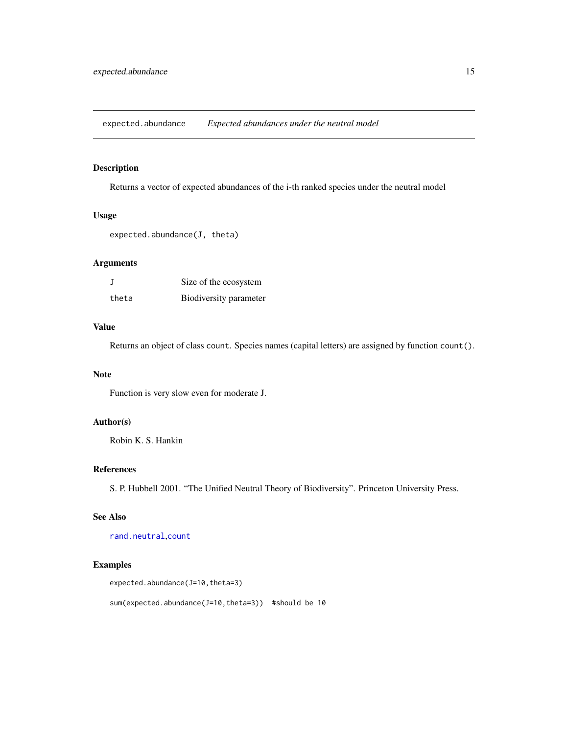<span id="page-14-0"></span>expected.abundance *Expected abundances under the neutral model*

## Description

Returns a vector of expected abundances of the i-th ranked species under the neutral model

## Usage

```
expected.abundance(J, theta)
```
## Arguments

|       | Size of the ecosystem  |
|-------|------------------------|
| theta | Biodiversity parameter |

## Value

Returns an object of class count. Species names (capital letters) are assigned by function count().

#### Note

Function is very slow even for moderate J.

## Author(s)

Robin K. S. Hankin

## References

S. P. Hubbell 2001. "The Unified Neutral Theory of Biodiversity". Princeton University Press.

## See Also

[rand.neutral](#page-32-1),[count](#page-9-1)

## Examples

```
expected.abundance(J=10,theta=3)
```
sum(expected.abundance(J=10,theta=3)) #should be 10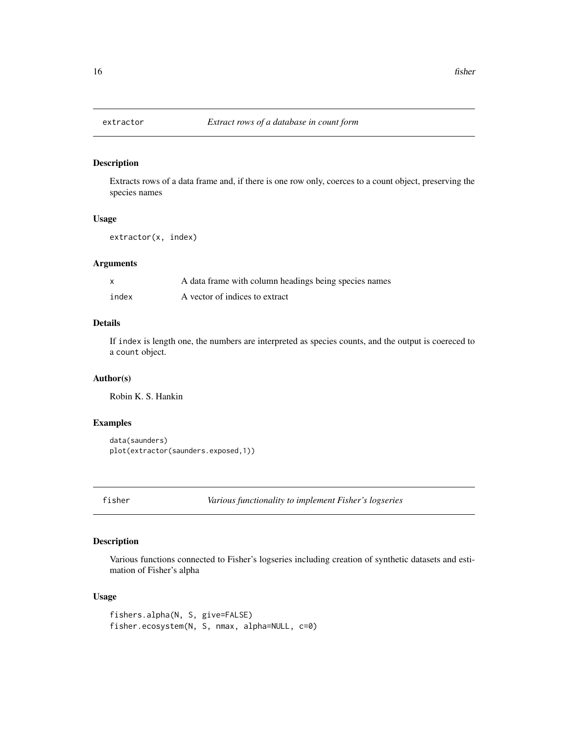Extracts rows of a data frame and, if there is one row only, coerces to a count object, preserving the species names

## Usage

```
extractor(x, index)
```
#### Arguments

|       | A data frame with column headings being species names |
|-------|-------------------------------------------------------|
| index | A vector of indices to extract                        |

## Details

If index is length one, the numbers are interpreted as species counts, and the output is coereced to a count object.

## Author(s)

Robin K. S. Hankin

## Examples

```
data(saunders)
plot(extractor(saunders.exposed,1))
```
fisher *Various functionality to implement Fisher's logseries*

## Description

Various functions connected to Fisher's logseries including creation of synthetic datasets and estimation of Fisher's alpha

## Usage

```
fishers.alpha(N, S, give=FALSE)
fisher.ecosystem(N, S, nmax, alpha=NULL, c=0)
```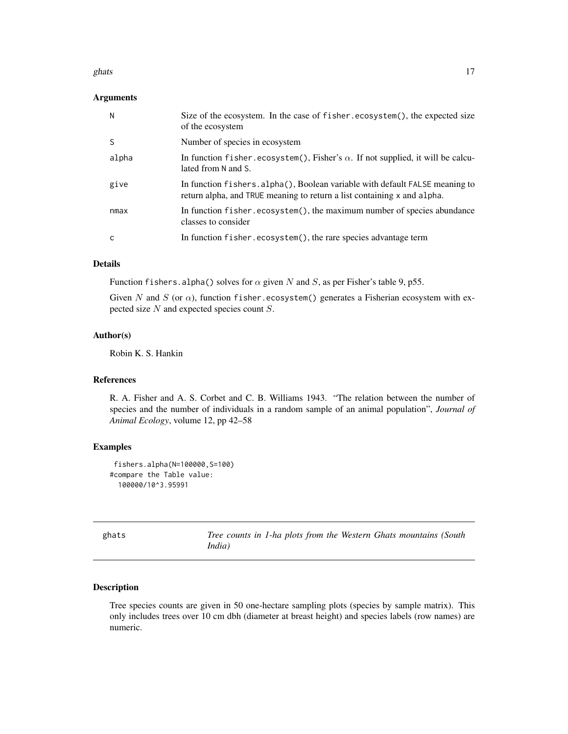#### <span id="page-16-0"></span>ghats  $17$

## Arguments

| N     | Size of the ecosystem. In the case of fisher.ecosystem(), the expected size<br>of the ecosystem                                                         |
|-------|---------------------------------------------------------------------------------------------------------------------------------------------------------|
| S     | Number of species in ecosystem                                                                                                                          |
| alpha | In function fisher.ecosystem(), Fisher's $\alpha$ . If not supplied, it will be calcu-<br>lated from N and S.                                           |
| give  | In function fishers. alpha(), Boolean variable with default FALSE meaning to<br>return alpha, and TRUE meaning to return a list containing x and alpha. |
| nmax  | In function fisher.ecosystem(), the maximum number of species abundance<br>classes to consider                                                          |
|       | In function fisher.ecosystem(), the rare species advantage term                                                                                         |

## Details

Function fishers.alpha() solves for  $\alpha$  given N and S, as per Fisher's table 9, p55.

Given N and S (or  $\alpha$ ), function fisher.ecosystem() generates a Fisherian ecosystem with expected size N and expected species count S.

## Author(s)

Robin K. S. Hankin

## References

R. A. Fisher and A. S. Corbet and C. B. Williams 1943. "The relation between the number of species and the number of individuals in a random sample of an animal population", *Journal of Animal Ecology*, volume 12, pp 42–58

## Examples

```
fishers.alpha(N=100000,S=100)
#compare the Table value:
  100000/10^3.95991
```

| ghats | Tree counts in 1-ha plots from the Western Ghats mountains (South |  |  |  |
|-------|-------------------------------------------------------------------|--|--|--|
|       | India)                                                            |  |  |  |

## Description

Tree species counts are given in 50 one-hectare sampling plots (species by sample matrix). This only includes trees over 10 cm dbh (diameter at breast height) and species labels (row names) are numeric.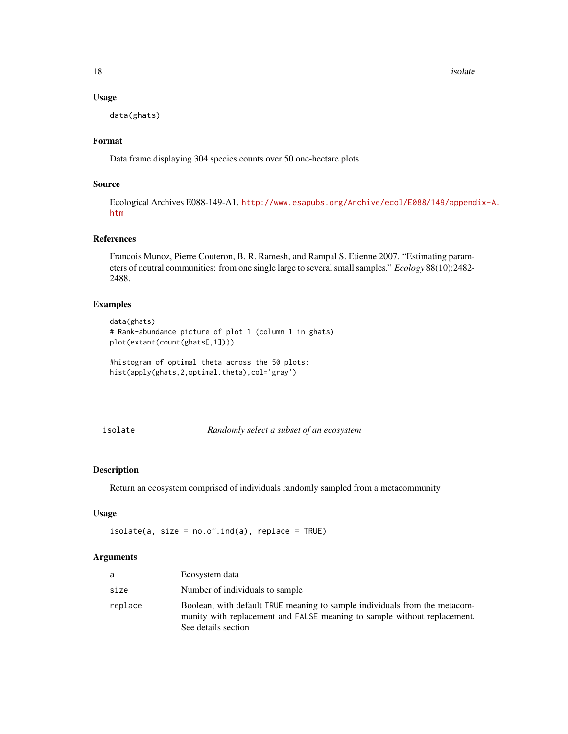18 isolate that the set of the set of the set of the set of the set of the set of the set of the set of the set of the set of the set of the set of the set of the set of the set of the set of the set of the set of the set

#### Usage

data(ghats)

## Format

Data frame displaying 304 species counts over 50 one-hectare plots.

## Source

Ecological Archives E088-149-A1. [http://www.esapubs.org/Archive/ecol/E088/149/append](http://www.esapubs.org/Archive/ecol/E088/149/appendix-A.htm)ix-A. [htm](http://www.esapubs.org/Archive/ecol/E088/149/appendix-A.htm)

## References

Francois Munoz, Pierre Couteron, B. R. Ramesh, and Rampal S. Etienne 2007. "Estimating parameters of neutral communities: from one single large to several small samples." *Ecology* 88(10):2482- 2488.

## Examples

```
data(ghats)
# Rank-abundance picture of plot 1 (column 1 in ghats)
plot(extant(count(ghats[,1])))
```

```
#histogram of optimal theta across the 50 plots:
hist(apply(ghats, 2, optimal.theta), col='gray')
```
isolate *Randomly select a subset of an ecosystem*

## Description

Return an ecosystem comprised of individuals randomly sampled from a metacommunity

#### Usage

 $isolate(a, size = no.of.ind(a), replace = TRUE)$ 

#### Arguments

| a       | Ecosystem data                                                                                                                                                                |  |
|---------|-------------------------------------------------------------------------------------------------------------------------------------------------------------------------------|--|
| size    | Number of individuals to sample                                                                                                                                               |  |
| replace | Boolean, with default TRUE meaning to sample individuals from the metacom-<br>munity with replacement and FALSE meaning to sample without replacement.<br>See details section |  |

<span id="page-17-0"></span>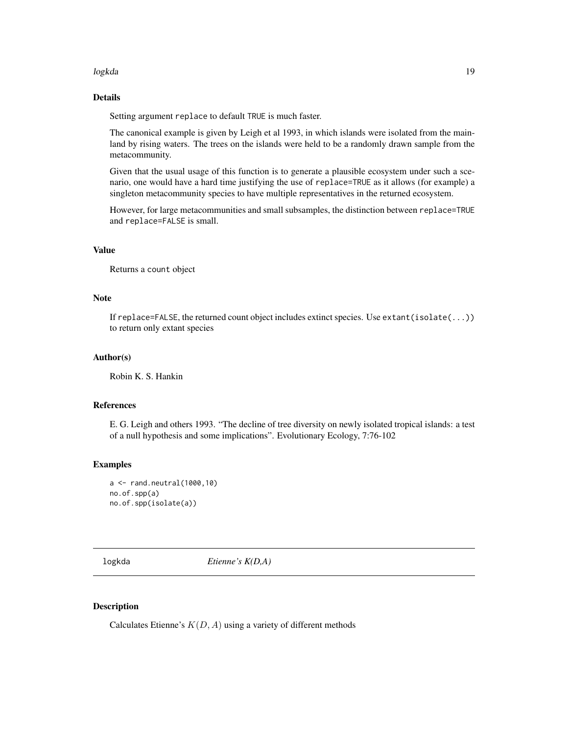#### <span id="page-18-0"></span>logkda 19

## Details

Setting argument replace to default TRUE is much faster.

The canonical example is given by Leigh et al 1993, in which islands were isolated from the mainland by rising waters. The trees on the islands were held to be a randomly drawn sample from the metacommunity.

Given that the usual usage of this function is to generate a plausible ecosystem under such a scenario, one would have a hard time justifying the use of replace=TRUE as it allows (for example) a singleton metacommunity species to have multiple representatives in the returned ecosystem.

However, for large metacommunities and small subsamples, the distinction between replace=TRUE and replace=FALSE is small.

## Value

Returns a count object

#### **Note**

If replace=FALSE, the returned count object includes extinct species. Use extant(isolate(...)) to return only extant species

## Author(s)

Robin K. S. Hankin

#### References

E. G. Leigh and others 1993. "The decline of tree diversity on newly isolated tropical islands: a test of a null hypothesis and some implications". Evolutionary Ecology, 7:76-102

#### Examples

```
a <- rand.neutral(1000,10)
no.of.spp(a)
no.of.spp(isolate(a))
```
<span id="page-18-1"></span>logkda *Etienne's K(D,A)*

## Description

Calculates Etienne's  $K(D, A)$  using a variety of different methods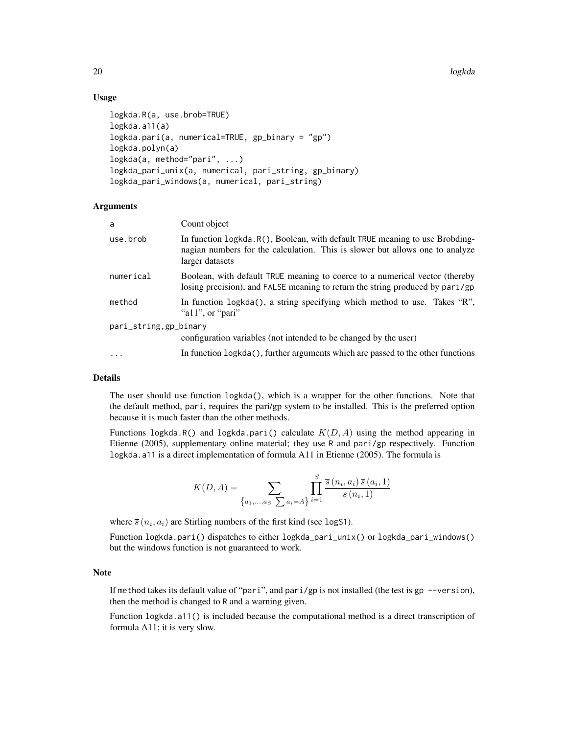20 and 20 and 20 and 20 and 20 and 20 and 20 and 20 and 20 and 20 and 20 and 20 and 20 and 20 and 20 and 20 and

## Usage

```
logkda.R(a, use.brob=TRUE)
logkda.a11(a)
logkda.pari(a, numerical=TRUE, gp_binary = "gp")
logkda.polyn(a)
logkda(a, method="pari", ...)
logkda_pari_unix(a, numerical, pari_string, gp_binary)
logkda_pari_windows(a, numerical, pari_string)
```
## **Arguments**

| a                      | Count object                                                                                                                                                                    |
|------------------------|---------------------------------------------------------------------------------------------------------------------------------------------------------------------------------|
| use.brob               | In function logkda. R(), Boolean, with default TRUE meaning to use Brobding-<br>nagian numbers for the calculation. This is slower but allows one to analyze<br>larger datasets |
| numerical              | Boolean, with default TRUE meaning to coerce to a numerical vector (thereby<br>losing precision), and FALSE meaning to return the string produced by pari/gp                    |
| method                 | In function logkda(), a string specifying which method to use. Takes "R",<br>"all", or "pari"                                                                                   |
| pari_string, gp_binary |                                                                                                                                                                                 |
|                        | configuration variables (not intended to be changed by the user)                                                                                                                |
| $\cdot$                | In function logkda(), further arguments which are passed to the other functions                                                                                                 |

## Details

The user should use function logkda(), which is a wrapper for the other functions. Note that the default method, pari, requires the pari/gp system to be installed. This is the preferred option because it is much faster than the other methods.

Functions logkda.R() and logkda.pari() calculate  $K(D, A)$  using the method appearing in Etienne (2005), supplementary online material; they use R and pari/gp respectively. Function logkda.a11 is a direct implementation of formula A11 in Etienne (2005). The formula is

$$
K(D, A) = \sum_{\{a_1, ..., a_S | \sum a_i = A\}} \prod_{i=1}^{S} \frac{\overline{s}(n_i, a_i) \,\overline{s}(a_i, 1)}{\overline{s}(n_i, 1)}
$$

where  $\bar{s}(n_i, a_i)$  are Stirling numbers of the first kind (see logS1).

Function logkda.pari() dispatches to either logkda\_pari\_unix() or logkda\_pari\_windows() but the windows function is not guaranteed to work.

## Note

If method takes its default value of "pari", and pari/gp is not installed (the test is gp --version), then the method is changed to R and a warning given.

Function logkda.a11() is included because the computational method is a direct transcription of formula A11; it is very slow.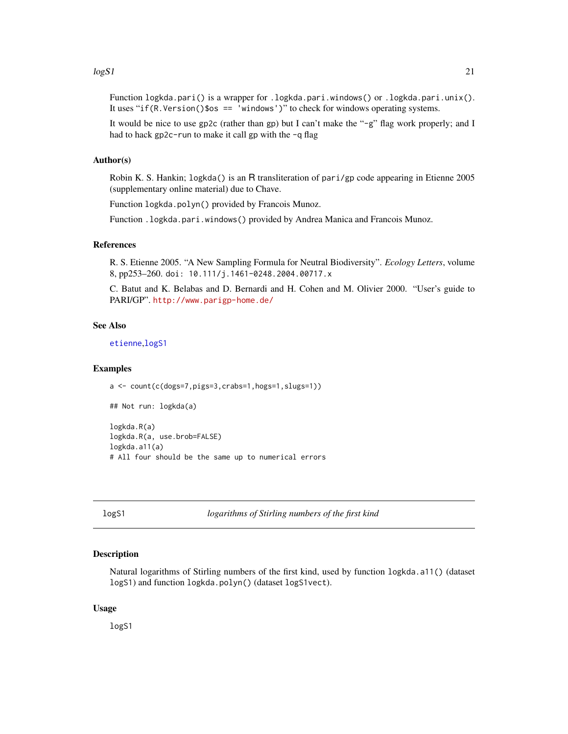#### <span id="page-20-0"></span> $\log S1$  21

Function logkda.pari() is a wrapper for .logkda.pari.windows() or .logkda.pari.unix(). It uses "if(R.Version()\$os == 'windows')" to check for windows operating systems.

It would be nice to use gp2c (rather than gp) but I can't make the "-g" flag work properly; and I had to hack gp2c-run to make it call gp with the -q flag

#### Author(s)

Robin K. S. Hankin; logkda() is an R transliteration of pari/gp code appearing in Etienne 2005 (supplementary online material) due to Chave.

Function logkda.polyn() provided by Francois Munoz.

Function .logkda.pari.windows() provided by Andrea Manica and Francois Munoz.

## References

R. S. Etienne 2005. "A New Sampling Formula for Neutral Biodiversity". *Ecology Letters*, volume 8, pp253–260. doi: 10.111/j.1461-0248.2004.00717.x

C. Batut and K. Belabas and D. Bernardi and H. Cohen and M. Olivier 2000. "User's guide to PARI/GP". <http://www.parigp-home.de/>

## See Also

[etienne](#page-12-1),[logS1](#page-20-1)

#### Examples

```
a <- count(c(dogs=7,pigs=3,crabs=1,hogs=1,slugs=1))
```
## Not run: logkda(a)

logkda.R(a) logkda.R(a, use.brob=FALSE) logkda.a11(a) # All four should be the same up to numerical errors

<span id="page-20-1"></span>logS1 *logarithms of Stirling numbers of the first kind*

#### Description

Natural logarithms of Stirling numbers of the first kind, used by function logkda.a11() (dataset logS1) and function logkda.polyn() (dataset logS1vect).

#### Usage

logS1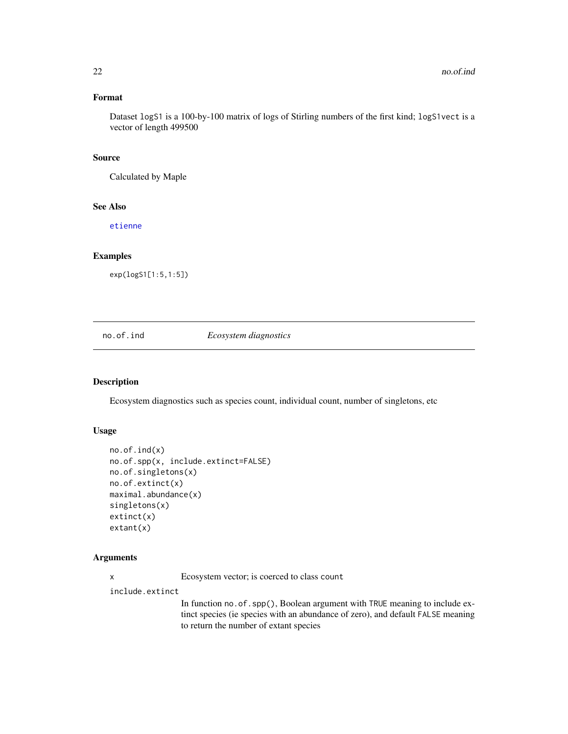## <span id="page-21-0"></span>Format

Dataset logS1 is a 100-by-100 matrix of logs of Stirling numbers of the first kind; logS1vect is a vector of length 499500

## Source

Calculated by Maple

## See Also

[etienne](#page-12-1)

#### Examples

exp(logS1[1:5,1:5])

## no.of.ind *Ecosystem diagnostics*

## Description

Ecosystem diagnostics such as species count, individual count, number of singletons, etc

#### Usage

```
no.of.ind(x)
no.of.spp(x, include.extinct=FALSE)
no.of.singletons(x)
no.of.extinct(x)
maximal.abundance(x)
singletons(x)
extinct(x)
extant(x)
```
#### Arguments

x Ecosystem vector; is coerced to class count

include.extinct

In function no. of . spp(), Boolean argument with TRUE meaning to include extinct species (ie species with an abundance of zero), and default FALSE meaning to return the number of extant species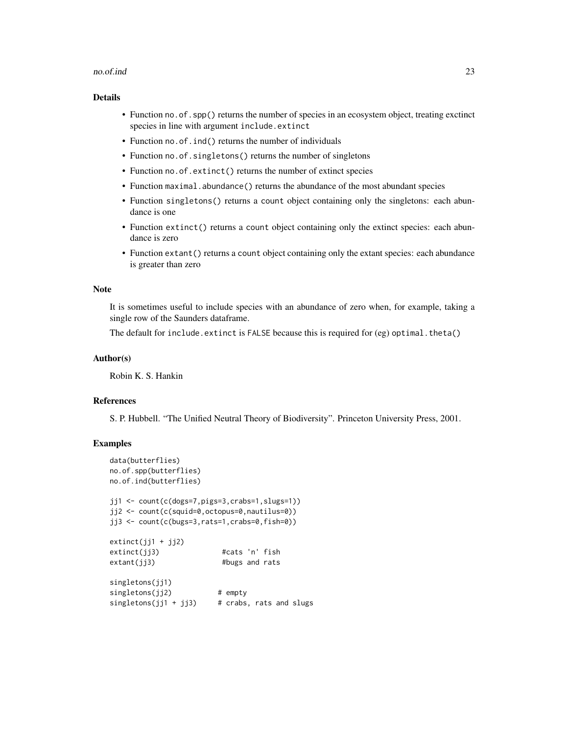#### no.of.ind 23

## Details

- Function no. of . spp() returns the number of species in an ecosystem object, treating exctinct species in line with argument include.extinct
- Function no.of.ind() returns the number of individuals
- Function no.of.singletons() returns the number of singletons
- Function no. of.extinct() returns the number of extinct species
- Function maximal.abundance() returns the abundance of the most abundant species
- Function singletons() returns a count object containing only the singletons: each abundance is one
- Function extinct() returns a count object containing only the extinct species: each abundance is zero
- Function extant() returns a count object containing only the extant species: each abundance is greater than zero

## Note

It is sometimes useful to include species with an abundance of zero when, for example, taking a single row of the Saunders dataframe.

The default for include.extinct is FALSE because this is required for (eg) optimal.theta()

#### Author(s)

Robin K. S. Hankin

#### References

S. P. Hubbell. "The Unified Neutral Theory of Biodiversity". Princeton University Press, 2001.

```
data(butterflies)
no.of.spp(butterflies)
no.of.ind(butterflies)
jj1 <- count(c(dogs=7,pigs=3,crabs=1,slugs=1))
jj2 <- count(c(squid=0,octopus=0,nautilus=0))
jj3 <- count(c(bugs=3,rats=1,crabs=0,fish=0))
extinct(jj1 + jj2)extinct(jj3) #cats 'n' fish
extant(jj3) #bugs and rats
singletons(jj1)
singletons(jj2) # empty
singletons(jj1 + jj3) # crabs, rats and slugs
```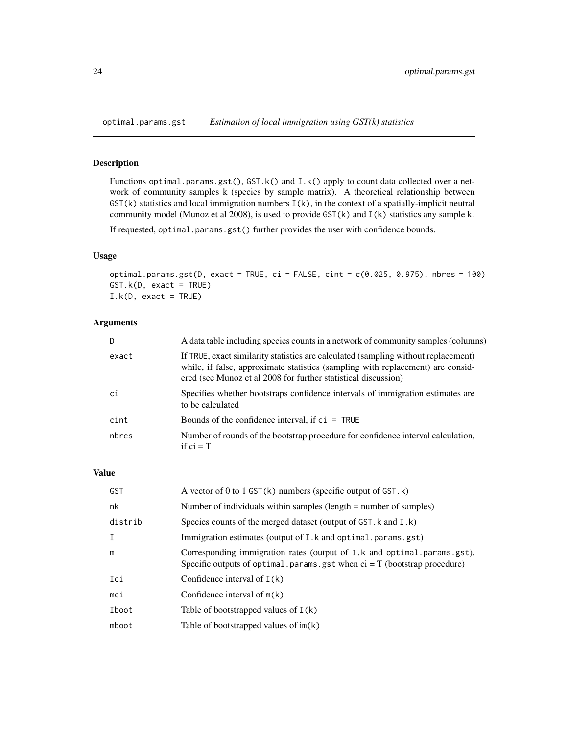<span id="page-23-1"></span><span id="page-23-0"></span>

Functions optimal.params.gst(), GST.k() and I.k() apply to count data collected over a network of community samples k (species by sample matrix). A theoretical relationship between  $GST(k)$  statistics and local immigration numbers  $I(k)$ , in the context of a spatially-implicit neutral community model (Munoz et al 2008), is used to provide GST(k) and I(k) statistics any sample k.

If requested, optimal.params.gst() further provides the user with confidence bounds.

#### Usage

optimal.params.gst(D, exact = TRUE, ci = FALSE, cint = c(0.025, 0.975), nbres = 100) GST.k(D, exact = TRUE)  $I.k(D, exact = TRUE)$ 

## Arguments

| D     | A data table including species counts in a network of community samples (columns)                                                                                                                                                       |
|-------|-----------------------------------------------------------------------------------------------------------------------------------------------------------------------------------------------------------------------------------------|
| exact | If TRUE, exact similarity statistics are calculated (sampling without replacement)<br>while, if false, approximate statistics (sampling with replacement) are consid-<br>ered (see Munoz et al 2008 for further statistical discussion) |
| ci    | Specifies whether bootstraps confidence intervals of immigration estimates are<br>to be calculated                                                                                                                                      |
| cint  | Bounds of the confidence interval, if $ci = TRUE$                                                                                                                                                                                       |
| nbres | Number of rounds of the bootstrap procedure for confidence interval calculation,<br>if $ci = T$                                                                                                                                         |

#### Value

| <b>GST</b>   | A vector of 0 to 1 GST( $k$ ) numbers (specific output of GST. $k$ )                                                                                  |
|--------------|-------------------------------------------------------------------------------------------------------------------------------------------------------|
| nk           | Number of individuals within samples (length $=$ number of samples)                                                                                   |
| distrib      | Species counts of the merged dataset (output of GST. k and I.k)                                                                                       |
| $\mathsf{T}$ | Immigration estimates (output of I.k and optimal.params.gst)                                                                                          |
| m            | Corresponding immigration rates (output of I.k and optimal params gst).<br>Specific outputs of optimal params gst when $ci = T$ (bootstrap procedure) |
| Ici          | Confidence interval of $I(k)$                                                                                                                         |
| mci          | Confidence interval of $m(k)$                                                                                                                         |
| Iboot        | Table of bootstrapped values of $I(k)$                                                                                                                |
| mboot        | Table of bootstrapped values of $im(k)$                                                                                                               |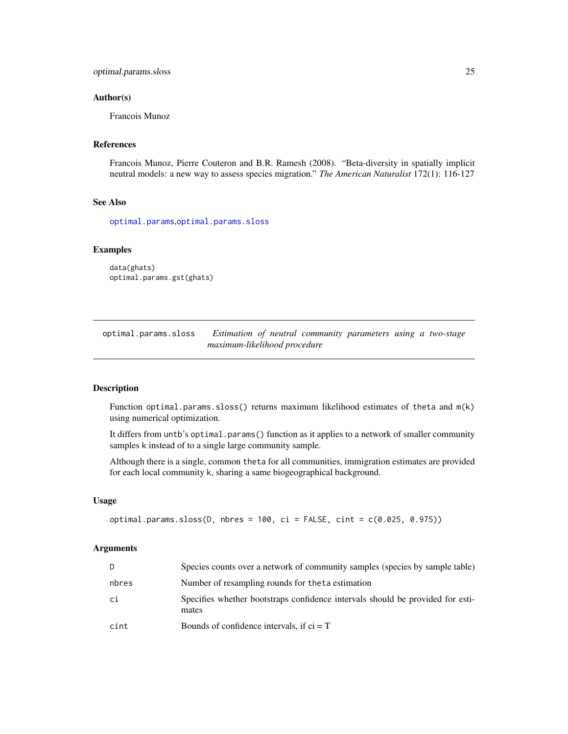#### <span id="page-24-0"></span>Author(s)

Francois Munoz

#### References

Francois Munoz, Pierre Couteron and B.R. Ramesh (2008). "Beta-diversity in spatially implicit neutral models: a new way to assess species migration." *The American Naturalist* 172(1): 116-127

#### See Also

[optimal.params](#page-12-2),[optimal.params.sloss](#page-24-1)

## Examples

```
data(ghats)
optimal.params.gst(ghats)
```
<span id="page-24-1"></span>optimal.params.sloss *Estimation of neutral community parameters using a two-stage maximum-likelihood procedure*

## Description

Function optimal.params.sloss() returns maximum likelihood estimates of theta and m(k) using numerical optimization.

It differs from untb's optimal.params() function as it applies to a network of smaller community samples k instead of to a single large community sample.

Although there is a single, common theta for all communities, immigration estimates are provided for each local community k, sharing a same biogeographical background.

#### Usage

```
optimal.params.sloss(D, nbres = 100, ci = FALSE, cint = c(0.025, 0.975))
```
#### Arguments

| D.    | Species counts over a network of community samples (species by sample table)            |  |
|-------|-----------------------------------------------------------------------------------------|--|
| nbres | Number of resampling rounds for the ta estimation                                       |  |
| сi    | Specifies whether bootstraps confidence intervals should be provided for esti-<br>mates |  |
| cint  | Bounds of confidence intervals, if $ci = T$                                             |  |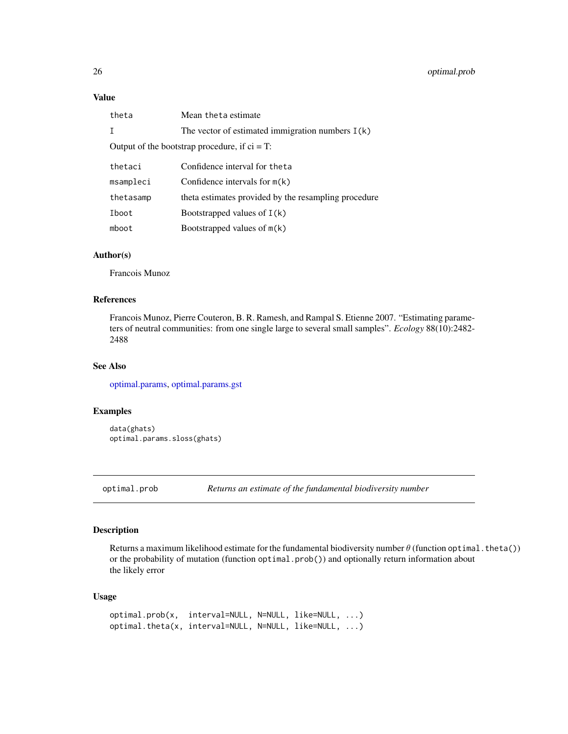## <span id="page-25-0"></span>Value

| theta                                            | Mean the ta estimate                                 |  |
|--------------------------------------------------|------------------------------------------------------|--|
| $\mathsf{T}$                                     | The vector of estimated immigration numbers $I(k)$   |  |
| Output of the bootstrap procedure, if $ci = T$ : |                                                      |  |
| thetaci                                          | Confidence interval for the ta                       |  |
| msampleci                                        | Confidence intervals for $m(k)$                      |  |
| thetasamp                                        | theta estimates provided by the resampling procedure |  |
| Iboot                                            | Bootstrapped values of $I(k)$                        |  |
| mboot                                            | Bootstrapped values of m(k)                          |  |

## Author(s)

Francois Munoz

## References

Francois Munoz, Pierre Couteron, B. R. Ramesh, and Rampal S. Etienne 2007. "Estimating parameters of neutral communities: from one single large to several small samples". *Ecology* 88(10):2482- 2488

## See Also

[optimal.params,](#page-12-2) [optimal.params.gst](#page-23-1)

#### Examples

data(ghats) optimal.params.sloss(ghats)

<span id="page-25-2"></span>optimal.prob *Returns an estimate of the fundamental biodiversity number*

## <span id="page-25-1"></span>Description

Returns a maximum likelihood estimate for the fundamental biodiversity number  $\theta$  (function optimal.theta()) or the probability of mutation (function optimal.prob()) and optionally return information about the likely error

## Usage

```
optimal.prob(x, interval=NULL, N=NULL, like=NULL, ...)
optimal.theta(x, interval=NULL, N=NULL, like=NULL, ...)
```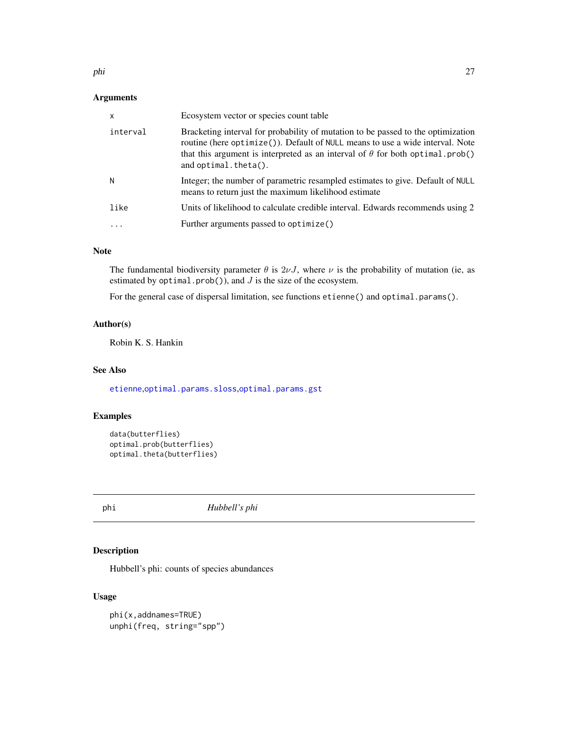## <span id="page-26-0"></span>Arguments

| $\times$ | Ecosystem vector or species count table                                                                                                                                                                                                                                               |
|----------|---------------------------------------------------------------------------------------------------------------------------------------------------------------------------------------------------------------------------------------------------------------------------------------|
| interval | Bracketing interval for probability of mutation to be passed to the optimization<br>routine (here optimize()). Default of NULL means to use a wide interval. Note<br>that this argument is interpreted as an interval of $\theta$ for both optimal.prob()<br>and $optimal. theta()$ . |
| N        | Integer; the number of parametric resampled estimates to give. Default of NULL<br>means to return just the maximum likelihood estimate                                                                                                                                                |
| like     | Units of likelihood to calculate credible interval. Edwards recommends using 2                                                                                                                                                                                                        |
|          | Further arguments passed to optimize()                                                                                                                                                                                                                                                |

## Note

The fundamental biodiversity parameter  $\theta$  is  $2\nu J$ , where  $\nu$  is the probability of mutation (ie, as estimated by optimal.prob()), and  $J$  is the size of the ecosystem.

For the general case of dispersal limitation, see functions etienne() and optimal.params().

## Author(s)

Robin K. S. Hankin

## See Also

[etienne](#page-12-1),[optimal.params.sloss](#page-24-1),[optimal.params.gst](#page-23-1)

## Examples

```
data(butterflies)
optimal.prob(butterflies)
optimal.theta(butterflies)
```
<span id="page-26-1"></span>phi *Hubbell's phi*

## Description

Hubbell's phi: counts of species abundances

## Usage

phi(x,addnames=TRUE) unphi(freq, string="spp")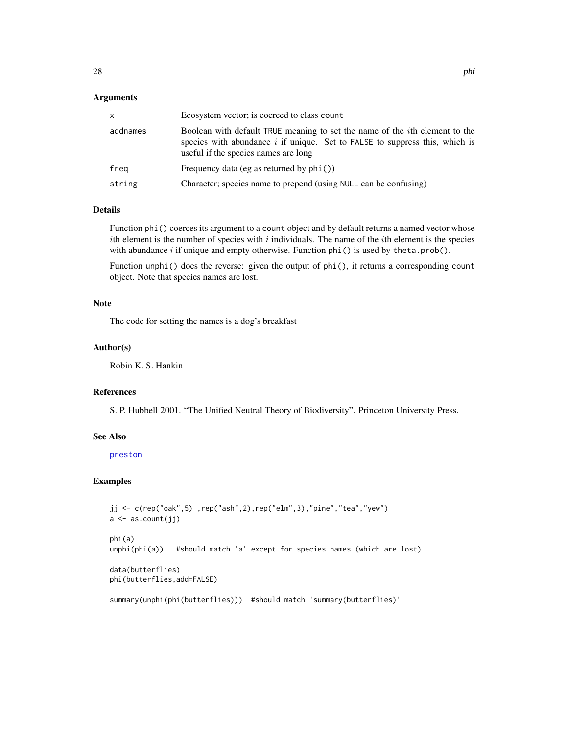#### <span id="page-27-0"></span>**Arguments**

| X        | Ecosystem vector; is coerced to class count                                                                                                                                                                  |
|----------|--------------------------------------------------------------------------------------------------------------------------------------------------------------------------------------------------------------|
| addnames | Boolean with default TRUE meaning to set the name of the <i>i</i> th element to the<br>species with abundance $i$ if unique. Set to FALSE to suppress this, which is<br>useful if the species names are long |
| freg     | Frequency data (eg as returned by $phi()$ )                                                                                                                                                                  |
| string   | Character; species name to prepend (using NULL can be confusing)                                                                                                                                             |

#### Details

Function phi() coerces its argument to a count object and by default returns a named vector whose ith element is the number of species with  $i$  individuals. The name of the *i*th element is the species with abundance  $i$  if unique and empty otherwise. Function  $phi()$  is used by theta.prob().

Function unphi() does the reverse: given the output of phi(), it returns a corresponding count object. Note that species names are lost.

#### Note

The code for setting the names is a dog's breakfast

## Author(s)

Robin K. S. Hankin

## References

S. P. Hubbell 2001. "The Unified Neutral Theory of Biodiversity". Princeton University Press.

## See Also

#### [preston](#page-29-1)

```
jj <- c(rep("oak",5) ,rep("ash",2),rep("elm",3),"pine","tea","yew")
a \leftarrow as.count(jj)phi(a)
unphi(phi(a)) #should match 'a' except for species names (which are lost)
data(butterflies)
phi(butterflies,add=FALSE)
summary(unphi(phi(butterflies))) #should match 'summary(butterflies)'
```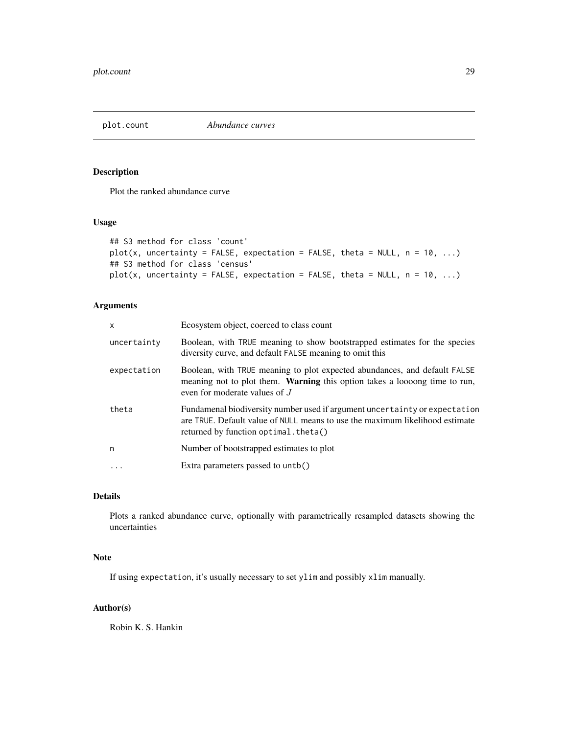<span id="page-28-0"></span>

Plot the ranked abundance curve

## Usage

```
## S3 method for class 'count'
plot(x, uncertainty = FALSE, expectation = FALSE, theta = NULL, n = 10, ...)
## S3 method for class 'census'
plot(x, uncertainty = FALSE, expectation = FALSE, theta = NULL, n = 10, ...)
```
## Arguments

| X           | Ecosystem object, coerced to class count                                                                                                                                                            |  |
|-------------|-----------------------------------------------------------------------------------------------------------------------------------------------------------------------------------------------------|--|
| uncertainty | Boolean, with TRUE meaning to show bootstrapped estimates for the species<br>diversity curve, and default FALSE meaning to omit this                                                                |  |
| expectation | Boolean, with TRUE meaning to plot expected abundances, and default FALSE<br>meaning not to plot them. <b>Warning</b> this option takes a loosong time to run,<br>even for moderate values of J     |  |
| theta       | Fundamenal biodiversity number used if argument uncertainty or expectation<br>are TRUE. Default value of NULL means to use the maximum likelihood estimate<br>returned by function optimal. theta() |  |
| n           | Number of bootstrapped estimates to plot                                                                                                                                                            |  |
|             | Extra parameters passed to untb()                                                                                                                                                                   |  |

## Details

Plots a ranked abundance curve, optionally with parametrically resampled datasets showing the uncertainties

## Note

If using expectation, it's usually necessary to set ylim and possibly xlim manually.

## Author(s)

Robin K. S. Hankin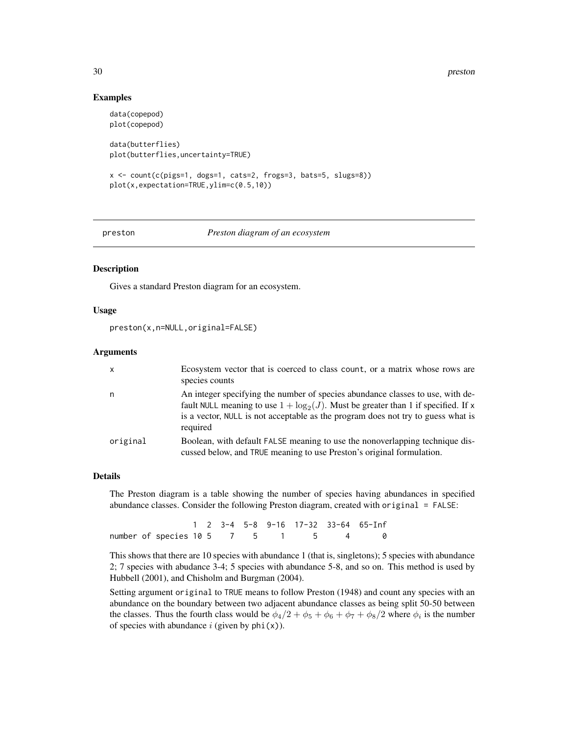#### 30 preston and the set of the set of the set of the set of the set of the set of the set of the set of the set of the set of the set of the set of the set of the set of the set of the set of the set of the set of the set o

### Examples

```
data(copepod)
plot(copepod)
data(butterflies)
plot(butterflies,uncertainty=TRUE)
```

```
x <- count(c(pigs=1, dogs=1, cats=2, frogs=3, bats=5, slugs=8))
plot(x,expectation=TRUE,ylim=c(0.5,10))
```
<span id="page-29-1"></span>

```
preston Preston diagram of an ecosystem
```
## **Description**

Gives a standard Preston diagram for an ecosystem.

## Usage

```
preston(x,n=NULL,original=FALSE)
```
#### Arguments

| $\mathsf{x}$ | Ecosystem vector that is coerced to class count, or a matrix whose rows are<br>species counts                                                                                                                                                                           |
|--------------|-------------------------------------------------------------------------------------------------------------------------------------------------------------------------------------------------------------------------------------------------------------------------|
| n            | An integer specifying the number of species abundance classes to use, with de-<br>fault NULL meaning to use $1 + \log_2(J)$ . Must be greater than 1 if specified. If x<br>is a vector, NULL is not acceptable as the program does not try to guess what is<br>required |
| original     | Boolean, with default FALSE meaning to use the nonoverlapping technique dis-<br>cussed below, and TRUE meaning to use Preston's original formulation.                                                                                                                   |

#### Details

The Preston diagram is a table showing the number of species having abundances in specified abundance classes. Consider the following Preston diagram, created with original = FALSE:

1 2 3-4 5-8 9-16 17-32 33-64 65-Inf number of species 10 5 7 5 1 5 4 0

This shows that there are 10 species with abundance 1 (that is, singletons); 5 species with abundance 2; 7 species with abudance 3-4; 5 species with abundance 5-8, and so on. This method is used by Hubbell (2001), and Chisholm and Burgman (2004).

Setting argument original to TRUE means to follow Preston (1948) and count any species with an abundance on the boundary between two adjacent abundance classes as being split 50-50 between the classes. Thus the fourth class would be  $\phi_4/2 + \phi_5 + \phi_6 + \phi_7 + \phi_8/2$  where  $\phi_i$  is the number of species with abundance  $i$  (given by phi(x)).

<span id="page-29-0"></span>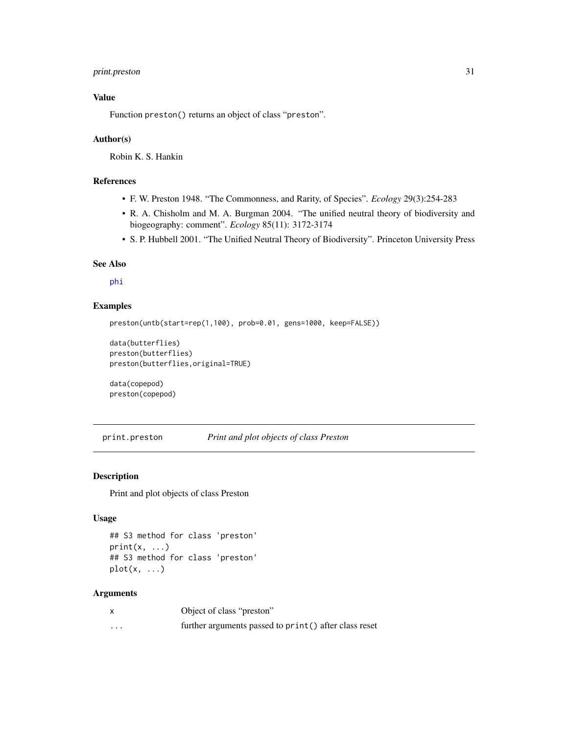## <span id="page-30-0"></span>print.preston 31

## Value

Function preston() returns an object of class "preston".

#### Author(s)

Robin K. S. Hankin

## References

- F. W. Preston 1948. "The Commonness, and Rarity, of Species". *Ecology* 29(3):254-283
- R. A. Chisholm and M. A. Burgman 2004. "The unified neutral theory of biodiversity and biogeography: comment". *Ecology* 85(11): 3172-3174
- S. P. Hubbell 2001. "The Unified Neutral Theory of Biodiversity". Princeton University Press

#### See Also

[phi](#page-26-1)

## Examples

```
preston(untb(start=rep(1,100), prob=0.01, gens=1000, keep=FALSE))
```

```
data(butterflies)
preston(butterflies)
preston(butterflies,original=TRUE)
```
data(copepod) preston(copepod)

print.preston *Print and plot objects of class Preston*

## Description

Print and plot objects of class Preston

#### Usage

```
## S3 method for class 'preston'
print(x, \ldots)## S3 method for class 'preston'
plot(x, \ldots)
```
#### Arguments

|          | Object of class "preston"                              |
|----------|--------------------------------------------------------|
| $\cdots$ | further arguments passed to print () after class reset |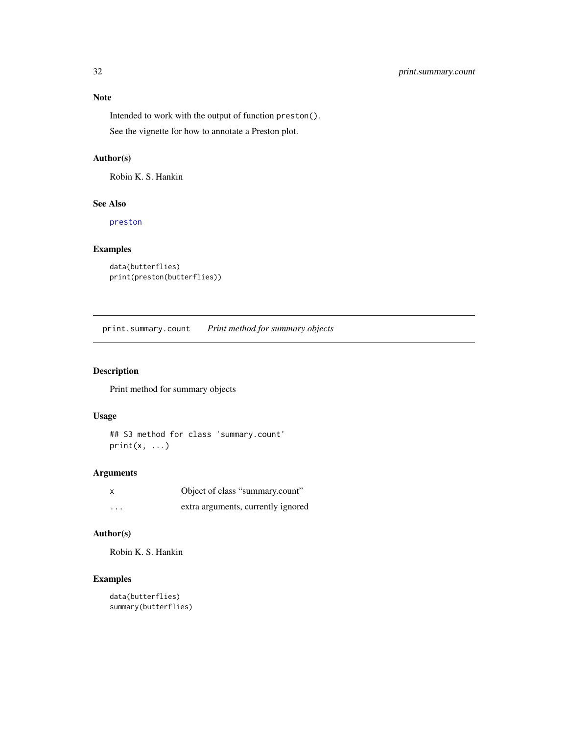<span id="page-31-0"></span>Intended to work with the output of function preston(). See the vignette for how to annotate a Preston plot.

## Author(s)

Robin K. S. Hankin

## See Also

[preston](#page-29-1)

## Examples

```
data(butterflies)
print(preston(butterflies))
```
print.summary.count *Print method for summary objects*

## Description

Print method for summary objects

## Usage

```
## S3 method for class 'summary.count'
print(x, \ldots)
```
## Arguments

| X        | Object of class "summary.count"    |
|----------|------------------------------------|
| $\cdots$ | extra arguments, currently ignored |

## Author(s)

Robin K. S. Hankin

```
data(butterflies)
summary(butterflies)
```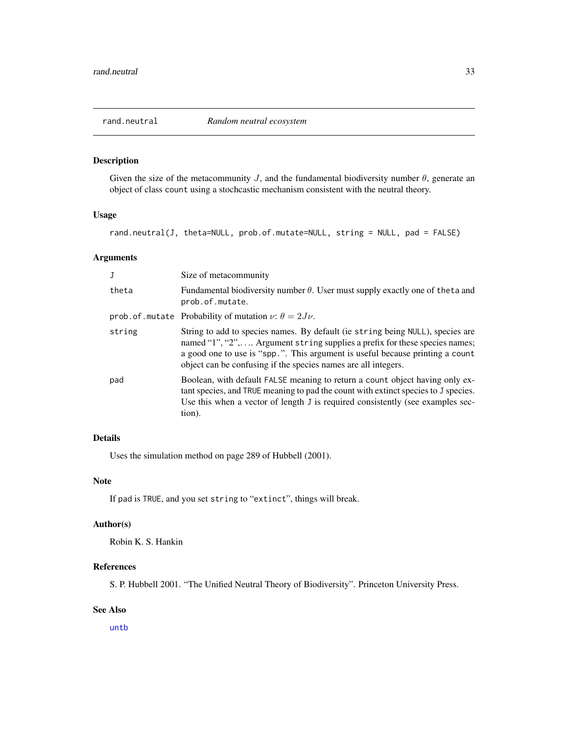<span id="page-32-1"></span><span id="page-32-0"></span>

Given the size of the metacommunity  $J$ , and the fundamental biodiversity number  $\theta$ , generate an object of class count using a stochcastic mechanism consistent with the neutral theory.

## Usage

rand.neutral(J, theta=NULL, prob.of.mutate=NULL, string = NULL, pad = FALSE)

## Arguments

| J      | Size of metacommunity                                                                                                                                                                                                                                                                                           |
|--------|-----------------------------------------------------------------------------------------------------------------------------------------------------------------------------------------------------------------------------------------------------------------------------------------------------------------|
| theta  | Fundamental biodiversity number $\theta$ . User must supply exactly one of the ta and<br>prob.of.mutate.                                                                                                                                                                                                        |
|        | prob. of . mutate Probability of mutation $\nu$ : $\theta = 2J\nu$ .                                                                                                                                                                                                                                            |
| string | String to add to species names. By default (ie string being NULL), species are<br>named "1", "2", Argument string supplies a prefix for these species names;<br>a good one to use is "spp.". This argument is useful because printing a count<br>object can be confusing if the species names are all integers. |
| pad    | Boolean, with default FALSE meaning to return a count object having only ex-<br>tant species, and TRUE meaning to pad the count with extinct species to J species.<br>Use this when a vector of length J is required consistently (see examples sec-<br>tion).                                                  |

## Details

Uses the simulation method on page 289 of Hubbell (2001).

#### Note

If pad is TRUE, and you set string to "extinct", things will break.

#### Author(s)

Robin K. S. Hankin

## References

S. P. Hubbell 2001. "The Unified Neutral Theory of Biodiversity". Princeton University Press.

## See Also

[untb](#page-41-1)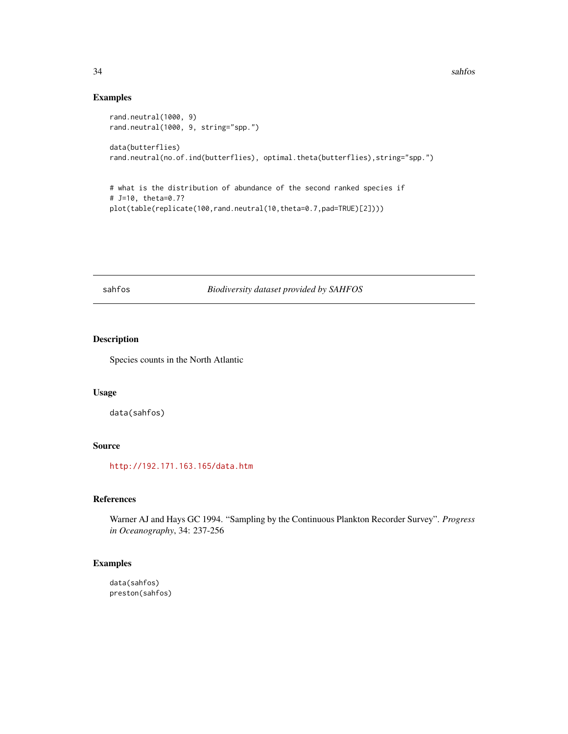## Examples

```
rand.neutral(1000, 9)
rand.neutral(1000, 9, string="spp.")
data(butterflies)
rand.neutral(no.of.ind(butterflies), optimal.theta(butterflies),string="spp.")
```

```
# what is the distribution of abundance of the second ranked species if
# J=10, theta=0.7?
plot(table(replicate(100,rand.neutral(10,theta=0.7,pad=TRUE)[2])))
```
sahfos *Biodiversity dataset provided by SAHFOS*

## Description

Species counts in the North Atlantic

## Usage

data(sahfos)

## Source

<http://192.171.163.165/data.htm>

## References

Warner AJ and Hays GC 1994. "Sampling by the Continuous Plankton Recorder Survey". *Progress in Oceanography*, 34: 237-256

```
data(sahfos)
preston(sahfos)
```
<span id="page-33-0"></span>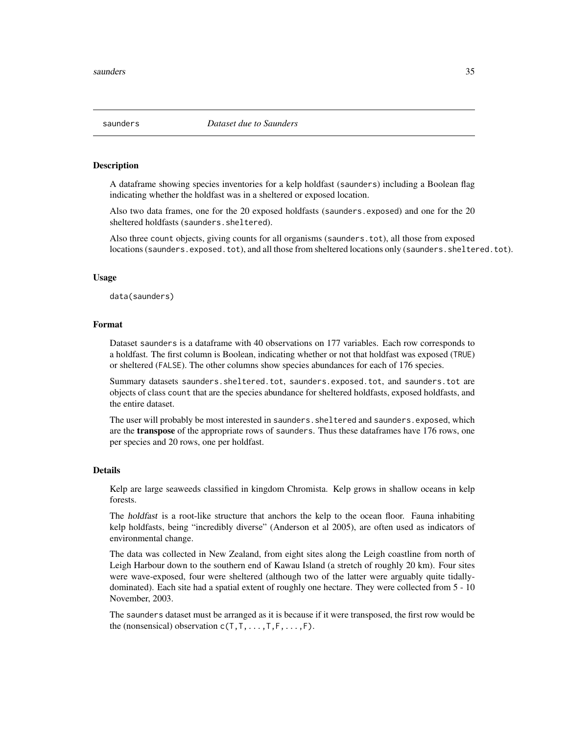<span id="page-34-0"></span>

A dataframe showing species inventories for a kelp holdfast (saunders) including a Boolean flag indicating whether the holdfast was in a sheltered or exposed location.

Also two data frames, one for the 20 exposed holdfasts (saunders.exposed) and one for the 20 sheltered holdfasts (saunders.sheltered).

Also three count objects, giving counts for all organisms (saunders.tot), all those from exposed locations (saunders.exposed.tot), and all those from sheltered locations only (saunders.sheltered.tot).

#### Usage

data(saunders)

#### Format

Dataset saunders is a dataframe with 40 observations on 177 variables. Each row corresponds to a holdfast. The first column is Boolean, indicating whether or not that holdfast was exposed (TRUE) or sheltered (FALSE). The other columns show species abundances for each of 176 species.

Summary datasets saunders.sheltered.tot, saunders.exposed.tot, and saunders.tot are objects of class count that are the species abundance for sheltered holdfasts, exposed holdfasts, and the entire dataset.

The user will probably be most interested in saunders.sheltered and saunders.exposed, which are the **transpose** of the appropriate rows of saunders. Thus these dataframes have 176 rows, one per species and 20 rows, one per holdfast.

## Details

Kelp are large seaweeds classified in kingdom Chromista. Kelp grows in shallow oceans in kelp forests.

The holdfast is a root-like structure that anchors the kelp to the ocean floor. Fauna inhabiting kelp holdfasts, being "incredibly diverse" (Anderson et al 2005), are often used as indicators of environmental change.

The data was collected in New Zealand, from eight sites along the Leigh coastline from north of Leigh Harbour down to the southern end of Kawau Island (a stretch of roughly 20 km). Four sites were wave-exposed, four were sheltered (although two of the latter were arguably quite tidallydominated). Each site had a spatial extent of roughly one hectare. They were collected from 5 - 10 November, 2003.

The saunders dataset must be arranged as it is because if it were transposed, the first row would be the (nonsensical) observation  $c(T, T, \ldots, T, F, \ldots, F)$ .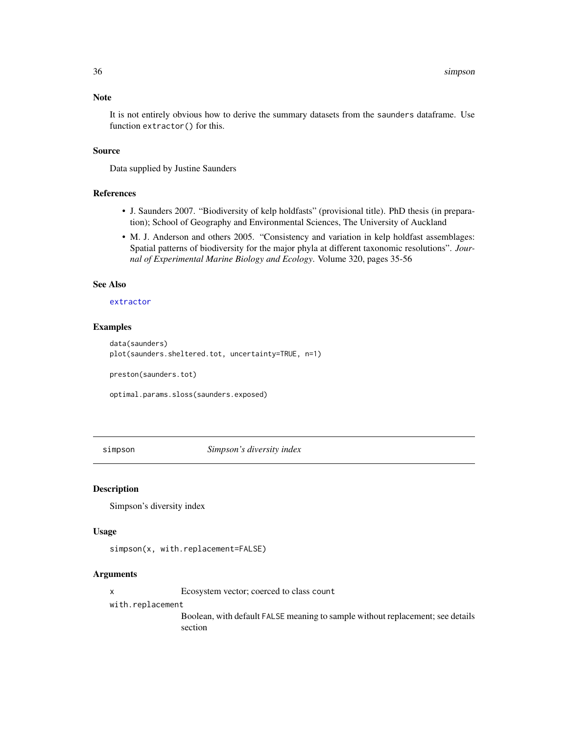## <span id="page-35-0"></span>Note

It is not entirely obvious how to derive the summary datasets from the saunders dataframe. Use function extractor() for this.

#### Source

Data supplied by Justine Saunders

## References

- J. Saunders 2007. "Biodiversity of kelp holdfasts" (provisional title). PhD thesis (in preparation); School of Geography and Environmental Sciences, The University of Auckland
- M. J. Anderson and others 2005. "Consistency and variation in kelp holdfast assemblages: Spatial patterns of biodiversity for the major phyla at different taxonomic resolutions". *Journal of Experimental Marine Biology and Ecology*. Volume 320, pages 35-56

#### See Also

## [extractor](#page-15-1)

## Examples

data(saunders) plot(saunders.sheltered.tot, uncertainty=TRUE, n=1)

preston(saunders.tot)

optimal.params.sloss(saunders.exposed)

simpson *Simpson's diversity index*

## Description

Simpson's diversity index

#### Usage

simpson(x, with.replacement=FALSE)

## Arguments

x Ecosystem vector; coerced to class count

with.replacement

Boolean, with default FALSE meaning to sample without replacement; see details section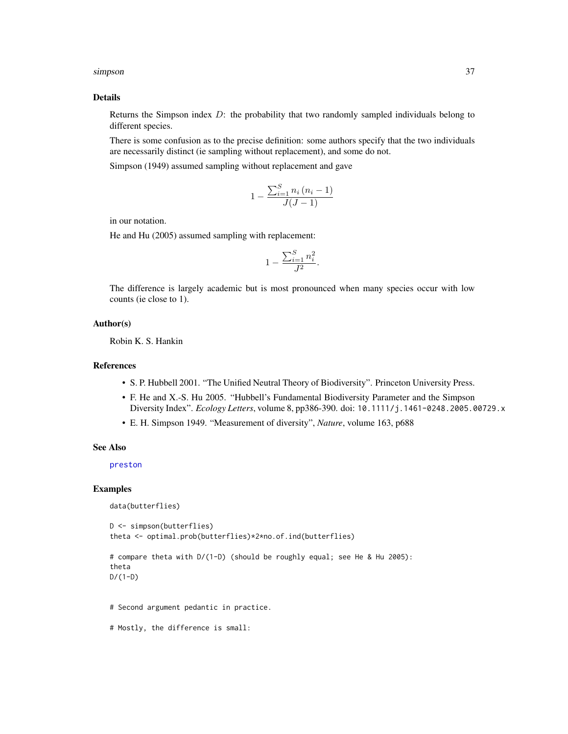#### <span id="page-36-0"></span>simpson 37

#### Details

Returns the Simpson index  $D$ : the probability that two randomly sampled individuals belong to different species.

There is some confusion as to the precise definition: some authors specify that the two individuals are necessarily distinct (ie sampling without replacement), and some do not.

Simpson (1949) assumed sampling without replacement and gave

$$
1 - \frac{\sum_{i=1}^{S} n_i (n_i - 1)}{J(J-1)}
$$

in our notation.

He and Hu (2005) assumed sampling with replacement:

$$
1-\frac{\sum_{i=1}^Sn_i^2}{J^2}.
$$

The difference is largely academic but is most pronounced when many species occur with low counts (ie close to 1).

## Author(s)

Robin K. S. Hankin

#### **References**

- S. P. Hubbell 2001. "The Unified Neutral Theory of Biodiversity". Princeton University Press.
- F. He and X.-S. Hu 2005. "Hubbell's Fundamental Biodiversity Parameter and the Simpson Diversity Index". *Ecology Letters*, volume 8, pp386-390. doi: 10.1111/j.1461-0248.2005.00729.x
- E. H. Simpson 1949. "Measurement of diversity", *Nature*, volume 163, p688

## See Also

[preston](#page-29-1)

```
data(butterflies)
```

```
D <- simpson(butterflies)
theta <- optimal.prob(butterflies)*2*no.of.ind(butterflies)
```

```
# compare theta with D/(1-D) (should be roughly equal; see He & Hu 2005):
theta
D/(1-D)
```
- # Second argument pedantic in practice.
- # Mostly, the difference is small: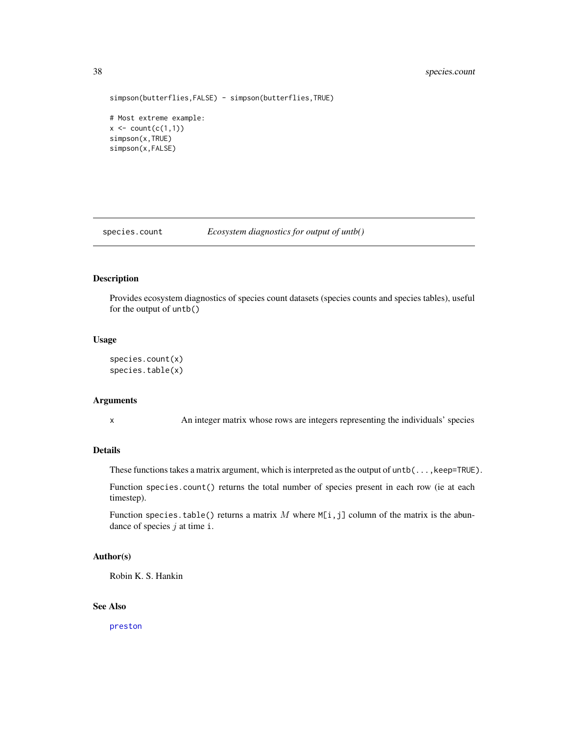## <span id="page-37-0"></span>38 species.count

```
simpson(butterflies,FALSE) - simpson(butterflies,TRUE)
```

```
# Most extreme example:
x \leftarrow \text{count}(c(1,1))simpson(x,TRUE)
simpson(x,FALSE)
```
species.count *Ecosystem diagnostics for output of untb()*

#### Description

Provides ecosystem diagnostics of species count datasets (species counts and species tables), useful for the output of untb()

#### Usage

```
species.count(x)
species.table(x)
```
#### Arguments

x An integer matrix whose rows are integers representing the individuals' species

## Details

These functions takes a matrix argument, which is interpreted as the output of  $until, k'$ .

Function species.count() returns the total number of species present in each row (ie at each timestep).

Function species.table() returns a matrix  $M$  where  $M[i,j]$  column of the matrix is the abundance of species  $j$  at time i.

## Author(s)

Robin K. S. Hankin

## See Also

[preston](#page-29-1)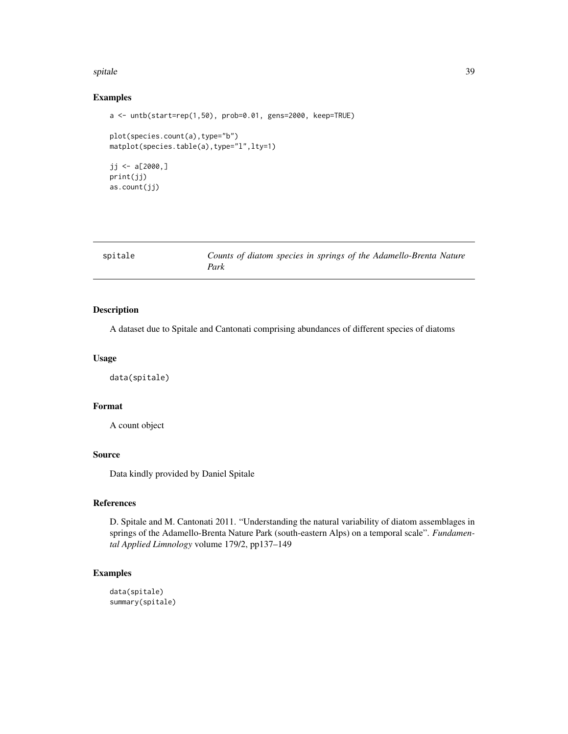#### <span id="page-38-0"></span>spitale 39

### Examples

```
a <- untb(start=rep(1,50), prob=0.01, gens=2000, keep=TRUE)
plot(species.count(a),type="b")
matplot(species.table(a),type="l",lty=1)
jj <- a[2000,]print(jj)
as.count(jj)
```

| spitale | Counts of diatom species in springs of the Adamello-Brenta Nature |
|---------|-------------------------------------------------------------------|
|         | Park                                                              |

## **Description**

A dataset due to Spitale and Cantonati comprising abundances of different species of diatoms

## Usage

data(spitale)

#### Format

A count object

## Source

Data kindly provided by Daniel Spitale

## References

D. Spitale and M. Cantonati 2011. "Understanding the natural variability of diatom assemblages in springs of the Adamello-Brenta Nature Park (south-eastern Alps) on a temporal scale". *Fundamental Applied Limnology* volume 179/2, pp137–149

## Examples

data(spitale) summary(spitale)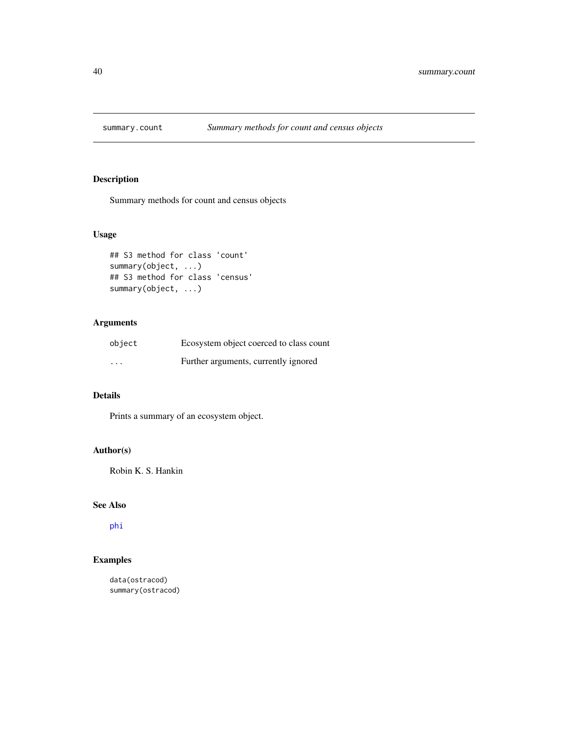<span id="page-39-0"></span>

Summary methods for count and census objects

## Usage

```
## S3 method for class 'count'
summary(object, ...)
## S3 method for class 'census'
summary(object, ...)
```
## Arguments

| object   | Ecosystem object coerced to class count |
|----------|-----------------------------------------|
| $\cdots$ | Further arguments, currently ignored    |

## Details

Prints a summary of an ecosystem object.

## Author(s)

Robin K. S. Hankin

## See Also

[phi](#page-26-1)

## Examples

data(ostracod) summary(ostracod)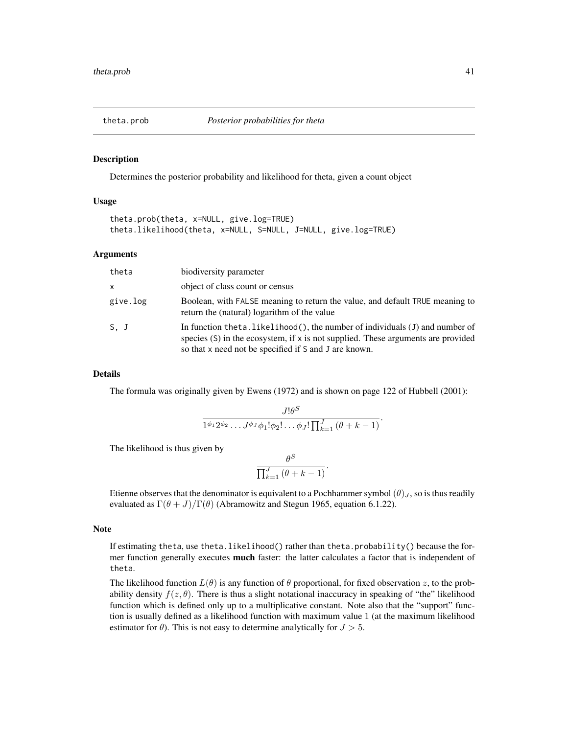<span id="page-40-0"></span>

Determines the posterior probability and likelihood for theta, given a count object

#### Usage

```
theta.prob(theta, x=NULL, give.log=TRUE)
theta.likelihood(theta, x=NULL, S=NULL, J=NULL, give.log=TRUE)
```
#### Arguments

| theta        | biodiversity parameter                                                                                                                                                                                                        |
|--------------|-------------------------------------------------------------------------------------------------------------------------------------------------------------------------------------------------------------------------------|
| $\mathsf{x}$ | object of class count or census                                                                                                                                                                                               |
| give.log     | Boolean, with FALSE meaning to return the value, and default TRUE meaning to<br>return the (natural) logarithm of the value                                                                                                   |
| S. J         | In function theta. likelihood(), the number of individuals $(J)$ and number of<br>species $(S)$ in the ecosystem, if x is not supplied. These arguments are provided<br>so that x need not be specified if S and J are known. |

#### Details

The formula was originally given by Ewens (1972) and is shown on page 122 of Hubbell (2001):

$$
\frac{J!\theta^S}{1^{\phi_1}2^{\phi_2}\dots J^{\phi_J}\phi_1!\phi_2!\dots\phi_J!\prod_{k=1}^J\left(\theta+k-1\right)}.
$$

The likelihood is thus given by

$$
\frac{\theta^S}{\prod_{k=1}^J\left(\theta+k-1\right)}.
$$

Etienne observes that the denominator is equivalent to a Pochhammer symbol  $(\theta)_J$ , so is thus readily evaluated as  $\Gamma(\theta + J)/\Gamma(\theta)$  (Abramowitz and Stegun 1965, equation 6.1.22).

#### **Note**

If estimating theta, use theta.likelihood() rather than theta.probability() because the former function generally executes **much** faster: the latter calculates a factor that is independent of theta.

The likelihood function  $L(\theta)$  is any function of  $\theta$  proportional, for fixed observation z, to the probability density  $f(z, \theta)$ . There is thus a slight notational inaccuracy in speaking of "the" likelihood function which is defined only up to a multiplicative constant. Note also that the "support" function is usually defined as a likelihood function with maximum value 1 (at the maximum likelihood estimator for  $\theta$ ). This is not easy to determine analytically for  $J > 5$ .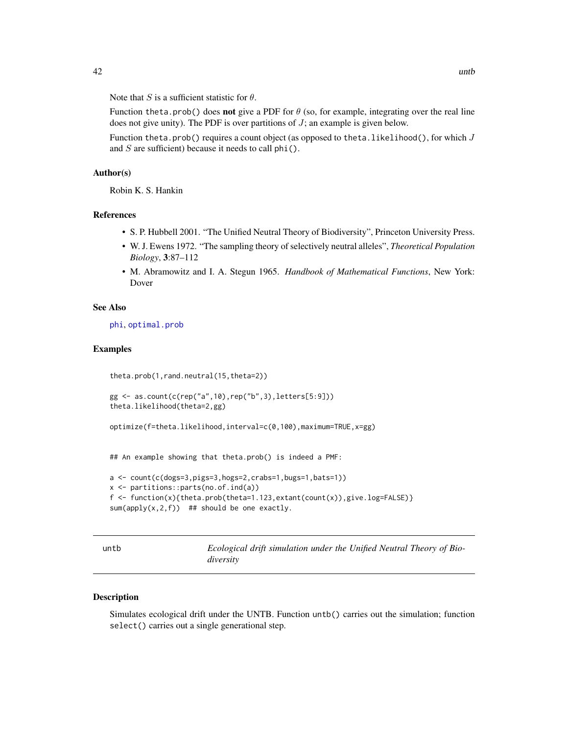<span id="page-41-0"></span>Note that S is a sufficient statistic for  $\theta$ .

Function theta.prob() does not give a PDF for  $\theta$  (so, for example, integrating over the real line does not give unity). The PDF is over partitions of  $J$ ; an example is given below.

Function theta.prob() requires a count object (as opposed to theta.likelihood(), for which  $J$ and  $S$  are sufficient) because it needs to call phi().

## Author(s)

Robin K. S. Hankin

## References

- S. P. Hubbell 2001. "The Unified Neutral Theory of Biodiversity", Princeton University Press.
- W. J. Ewens 1972. "The sampling theory of selectively neutral alleles", *Theoretical Population Biology*, 3:87–112
- M. Abramowitz and I. A. Stegun 1965. *Handbook of Mathematical Functions*, New York: Dover

## See Also

[phi](#page-26-1), [optimal.prob](#page-25-2)

#### Examples

```
theta.prob(1,rand.neutral(15,theta=2))
```

```
gg <- as.count(c(rep("a",10),rep("b",3),letters[5:9]))
theta.likelihood(theta=2,gg)
```
optimize(f=theta.likelihood,interval=c(0,100),maximum=TRUE,x=gg)

## An example showing that theta.prob() is indeed a PMF:

```
a <- count(c(dogs=3,pigs=3,hogs=2,crabs=1,bugs=1,bats=1))
x <- partitions::parts(no.of.ind(a))
f <- function(x){theta.prob(theta=1.123,extant(count(x)),give.log=FALSE)}
sum(\text{apply}(x,2,f)) ## should be one exactly.
```
<span id="page-41-1"></span>

untb *Ecological drift simulation under the Unified Neutral Theory of Biodiversity*

## Description

Simulates ecological drift under the UNTB. Function untb() carries out the simulation; function select() carries out a single generational step.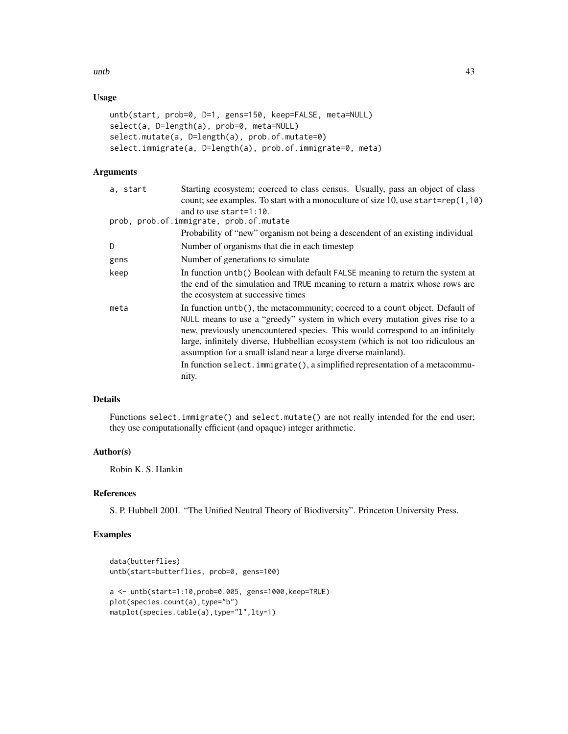#### $\mu$ untb $\sim$  43

## Usage

```
untb(start, prob=0, D=1, gens=150, keep=FALSE, meta=NULL)
select(a, D=length(a), prob=0, meta=NULL)
select.mutate(a, D=length(a), prob.of.mutate=0)
select.immigrate(a, D=length(a), prob.of.immigrate=0, meta)
```
## Arguments

| a. start | Starting ecosystem; coerced to class census. Usually, pass an object of class                                                                                                                                                                                                                                                                                                                                                                                                                |
|----------|----------------------------------------------------------------------------------------------------------------------------------------------------------------------------------------------------------------------------------------------------------------------------------------------------------------------------------------------------------------------------------------------------------------------------------------------------------------------------------------------|
|          | count; see examples. To start with a monoculture of size 10, use start=rep $(1, 10)$                                                                                                                                                                                                                                                                                                                                                                                                         |
|          | and to use start= $1:10$ .                                                                                                                                                                                                                                                                                                                                                                                                                                                                   |
|          | prob, prob.of.immigrate, prob.of.mutate                                                                                                                                                                                                                                                                                                                                                                                                                                                      |
|          | Probability of "new" organism not being a descendent of an existing individual                                                                                                                                                                                                                                                                                                                                                                                                               |
| D        | Number of organisms that die in each timestep                                                                                                                                                                                                                                                                                                                                                                                                                                                |
| gens     | Number of generations to simulate                                                                                                                                                                                                                                                                                                                                                                                                                                                            |
| keep     | In function untb() Boolean with default FALSE meaning to return the system at<br>the end of the simulation and TRUE meaning to return a matrix whose rows are<br>the ecosystem at successive times                                                                                                                                                                                                                                                                                           |
| meta     | In function $untb()$ , the metacommunity; coerced to a count object. Default of<br>NULL means to use a "greedy" system in which every mutation gives rise to a<br>new, previously unencountered species. This would correspond to an infinitely<br>large, infinitely diverse, Hubbellian ecosystem (which is not too ridiculous an<br>assumption for a small island near a large diverse mainland).<br>In function select. immigrate(), a simplified representation of a metacommu-<br>nity. |

## Details

Functions select.immigrate() and select.mutate() are not really intended for the end user; they use computationally efficient (and opaque) integer arithmetic.

## Author(s)

Robin K. S. Hankin

## References

S. P. Hubbell 2001. "The Unified Neutral Theory of Biodiversity". Princeton University Press.

```
data(butterflies)
untb(start=butterflies, prob=0, gens=100)
a <- untb(start=1:10,prob=0.005, gens=1000,keep=TRUE)
plot(species.count(a),type="b")
matplot(species.table(a),type="l",lty=1)
```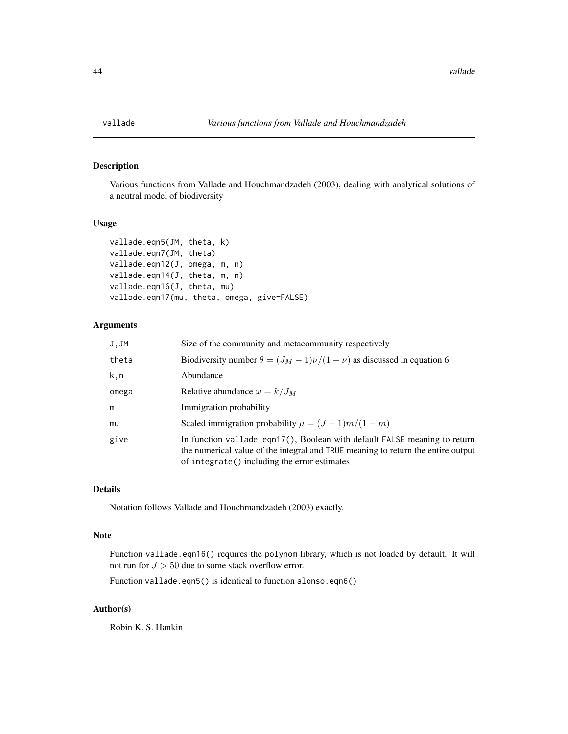<span id="page-43-0"></span>

Various functions from Vallade and Houchmandzadeh (2003), dealing with analytical solutions of a neutral model of biodiversity

## Usage

```
vallade.eqn5(JM, theta, k)
vallade.eqn7(JM, theta)
vallade.eqn12(J, omega, m, n)
vallade.eqn14(J, theta, m, n)
vallade.eqn16(J, theta, mu)
vallade.eqn17(mu, theta, omega, give=FALSE)
```
## Arguments

| J, JM | Size of the community and metacommunity respectively                                                                                                                                                          |  |
|-------|---------------------------------------------------------------------------------------------------------------------------------------------------------------------------------------------------------------|--|
| theta | Biodiversity number $\theta = (J_M - 1)\nu/(1 - \nu)$ as discussed in equation 6                                                                                                                              |  |
| k,n   | Abundance                                                                                                                                                                                                     |  |
| omega | Relative abundance $\omega = k/J_M$                                                                                                                                                                           |  |
| m     | Immigration probability                                                                                                                                                                                       |  |
| mu    | Scaled immigration probability $\mu = (J-1)m/(1-m)$                                                                                                                                                           |  |
| give  | In function vallade.eqn17(), Boolean with default FALSE meaning to return<br>the numerical value of the integral and TRUE meaning to return the entire output<br>of integrate() including the error estimates |  |

#### Details

Notation follows Vallade and Houchmandzadeh (2003) exactly.

#### Note

Function vallade.eqn16() requires the polynom library, which is not loaded by default. It will not run for  $J > 50$  due to some stack overflow error.

Function vallade.eqn5() is identical to function alonso.eqn6()

## Author(s)

Robin K. S. Hankin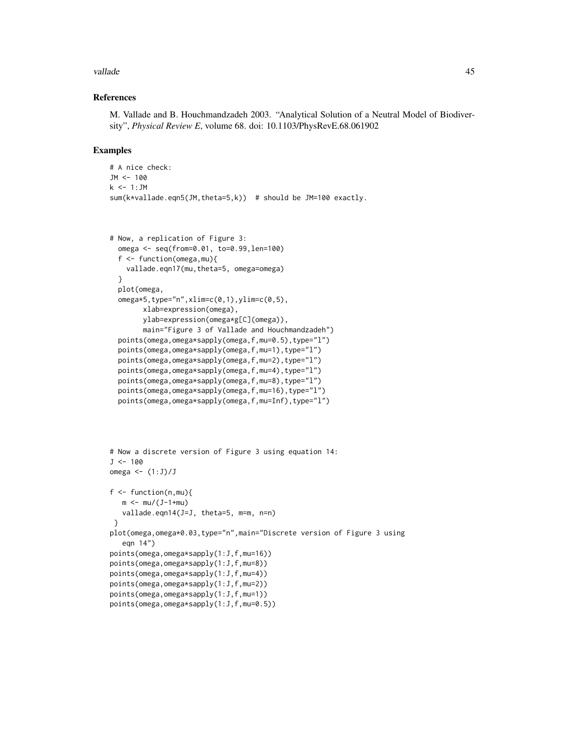#### vallade to the contract of the contract of the contract of the contract of the contract of the contract of the contract of the contract of the contract of the contract of the contract of the contract of the contract of the

#### References

M. Vallade and B. Houchmandzadeh 2003. "Analytical Solution of a Neutral Model of Biodiversity", *Physical Review E*, volume 68. doi: 10.1103/PhysRevE.68.061902

```
# A nice check:
JM <- 100
k \le -1:JMsum(k*vallade.eqn5(JM,theta=5,k)) # should be JM=100 exactly.
```

```
# Now, a replication of Figure 3:
 omega <- seq(from=0.01, to=0.99,len=100)
 f <- function(omega,mu){
   vallade.eqn17(mu,theta=5, omega=omega)
 }
 plot(omega,
 omega*5,type="n",xlim=c(0,1),ylim=c(0,5),
       xlab=expression(omega),
       ylab=expression(omega*g[C](omega)),
       main="Figure 3 of Vallade and Houchmandzadeh")
 points(omega,omega*sapply(omega,f,mu=0.5),type="l")
 points(omega,omega*sapply(omega,f,mu=1),type="l")
 points(omega,omega*sapply(omega,f,mu=2),type="l")
 points(omega,omega*sapply(omega,f,mu=4),type="l")
 points(omega,omega*sapply(omega,f,mu=8),type="l")
 points(omega,omega*sapply(omega,f,mu=16),type="l")
 points(omega,omega*sapply(omega,f,mu=Inf),type="l")
```

```
# Now a discrete version of Figure 3 using equation 14:
J < -100omega \leftarrow (1:J)/Jf \leftarrow function(n, mu)m < - mu/(J-1+mu)vallade.eqn14(J=J, theta=5, m=m, n=n)
 }
plot(omega,omega*0.03,type="n",main="Discrete version of Figure 3 using
   eqn 14")
points(omega,omega*sapply(1:J,f,mu=16))
points(omega,omega*sapply(1:J,f,mu=8))
points(omega,omega*sapply(1:J,f,mu=4))
points(omega,omega*sapply(1:J,f,mu=2))
points(omega,omega*sapply(1:J,f,mu=1))
points(omega,omega*sapply(1:J,f,mu=0.5))
```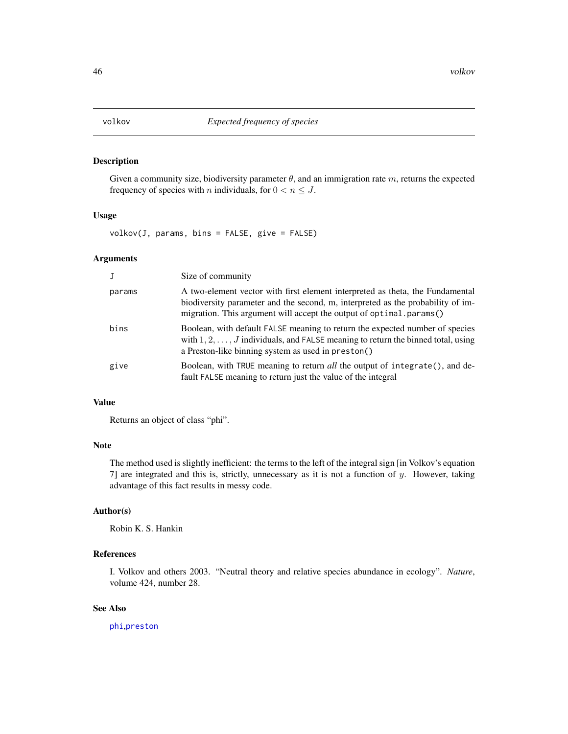<span id="page-45-0"></span>Given a community size, biodiversity parameter  $\theta$ , and an immigration rate m, returns the expected frequency of species with *n* individuals, for  $0 < n \leq J$ .

#### Usage

volkov(J, params, bins = FALSE, give = FALSE)

#### Arguments

|        | Size of community                                                                                                                                                                                                                       |
|--------|-----------------------------------------------------------------------------------------------------------------------------------------------------------------------------------------------------------------------------------------|
| params | A two-element vector with first element interpreted as theta, the Fundamental<br>biodiversity parameter and the second, m, interpreted as the probability of im-<br>migration. This argument will accept the output of optimal.params() |
| bins   | Boolean, with default FALSE meaning to return the expected number of species<br>with $1, 2, \ldots, J$ individuals, and FALSE meaning to return the binned total, using<br>a Preston-like binning system as used in preston()           |
| give   | Boolean, with TRUE meaning to return <i>all</i> the output of integrate(), and de-<br>fault FALSE meaning to return just the value of the integral                                                                                      |

## Value

Returns an object of class "phi".

## Note

The method used is slightly inefficient: the terms to the left of the integral sign [in Volkov's equation 7] are integrated and this is, strictly, unnecessary as it is not a function of  $y$ . However, taking advantage of this fact results in messy code.

## Author(s)

Robin K. S. Hankin

## References

I. Volkov and others 2003. "Neutral theory and relative species abundance in ecology". *Nature*, volume 424, number 28.

## See Also

[phi](#page-26-1),[preston](#page-29-1)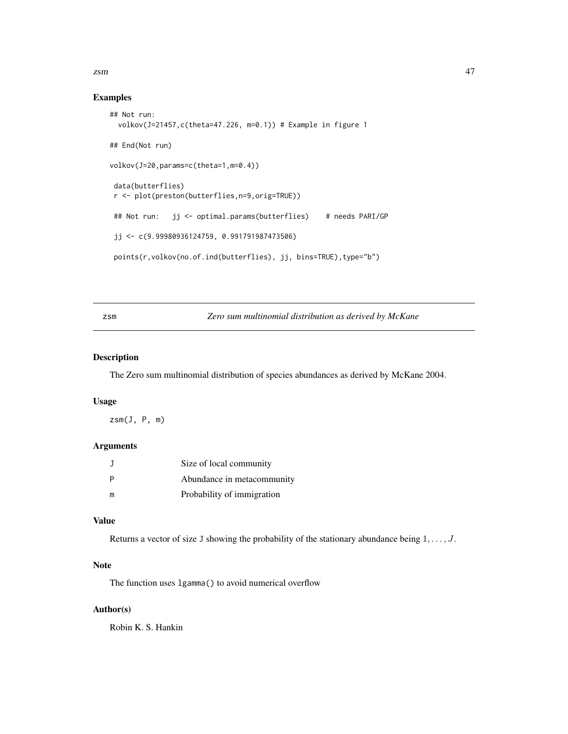<span id="page-46-0"></span>zsm and the contract of the contract of the contract of the contract of the contract of the contract of the contract of the contract of the contract of the contract of the contract of the contract of the contract of the co

## Examples

```
## Not run:
 volkov(J=21457,c(theta=47.226, m=0.1)) # Example in figure 1
## End(Not run)
volkov(J=20,params=c(theta=1,m=0.4))
data(butterflies)
r <- plot(preston(butterflies,n=9,orig=TRUE))
## Not run: jj <- optimal.params(butterflies) # needs PARI/GP
jj <- c(9.99980936124759, 0.991791987473506)
points(r,volkov(no.of.ind(butterflies), jj, bins=TRUE),type="b")
```
## zsm *Zero sum multinomial distribution as derived by McKane*

## Description

The Zero sum multinomial distribution of species abundances as derived by McKane 2004.

#### Usage

 $z\text{sm}(J, P, m)$ 

## Arguments

|   | Size of local community    |
|---|----------------------------|
|   | Abundance in metacommunity |
| m | Probability of immigration |

#### Value

Returns a vector of size J showing the probability of the stationary abundance being  $1, \ldots, J$ .

## Note

The function uses lgamma() to avoid numerical overflow

## Author(s)

Robin K. S. Hankin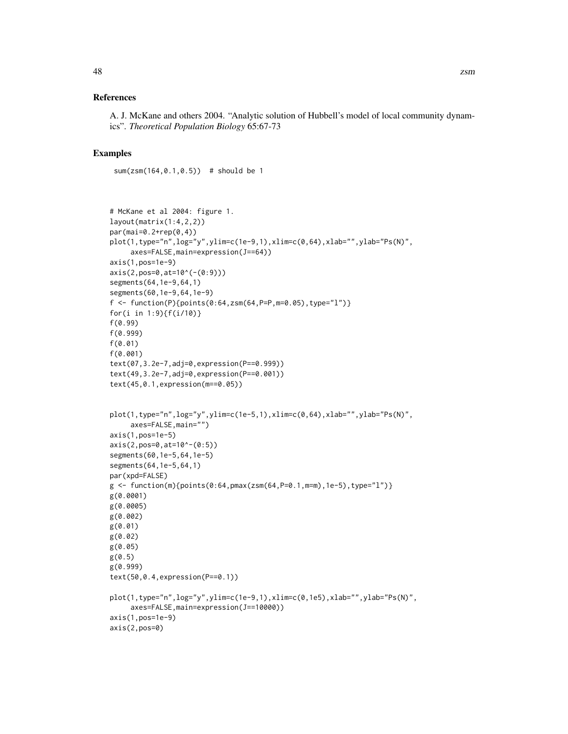A. J. McKane and others 2004. "Analytic solution of Hubbell's model of local community dynamics". *Theoretical Population Biology* 65:67-73

#### Examples

sum(zsm(164,0.1,0.5)) # should be 1

```
# McKane et al 2004: figure 1.
layout(matrix(1:4,2,2))
par(mai=0.2+rep(0,4))
plot(1, type="n", log="y", ylim = c(1e-9, 1), xlim = c(0, 64), xlabel="y", ylabel"PS(N)",axes=FALSE,main=expression(J==64))
axis(1,pos=1e-9)
axis(2,pos=0,at=10^(-(0:9)))
segments(64,1e-9,64,1)
segments(60,1e-9,64,1e-9)
f <- function(P){points(0:64,zsm(64,P=P,m=0.05),type="l")}
for(i in 1:9){f(i/10)}
f(0.99)
f(0.999)
f(0.01)
f(0.001)
text(07,3.2e-7,adj=0,expression(P==0.999))
text(49,3.2e-7,adj=0,expression(P==0.001))
text(45,0.1,expression(m==0.05))
plot(1,type="n",log="y",ylim=c(1e-5,1),xlim=c(0,64),xlab="",ylab="Ps(N)",
     axes=FALSE,main="")
axis(1,pos=1e-5)
axis(2,pos=0,at=10^-(0:5))
segments(60,1e-5,64,1e-5)
segments(64,1e-5,64,1)
par(xpd=FALSE)
g \leftarrow function(m){points(0:64,pmax(zsm(64,P=0.1,m=m),1e-5),type="l")}
g(0.0001)
g(0.0005)
g(0.002)
g(0.01)
g(0.02)
g(0.05)
g(0.5)
g(0.999)
text(50,0.4,expression(P==0.1))
plot(1,type="n",log="y",ylim=c(1e-9,1),xlim=c(0,1e5),xlab="",ylab="Ps(N)",
     axes=FALSE,main=expression(J==10000))
axis(1,pos=1e-9)
axis(2,pos=0)
```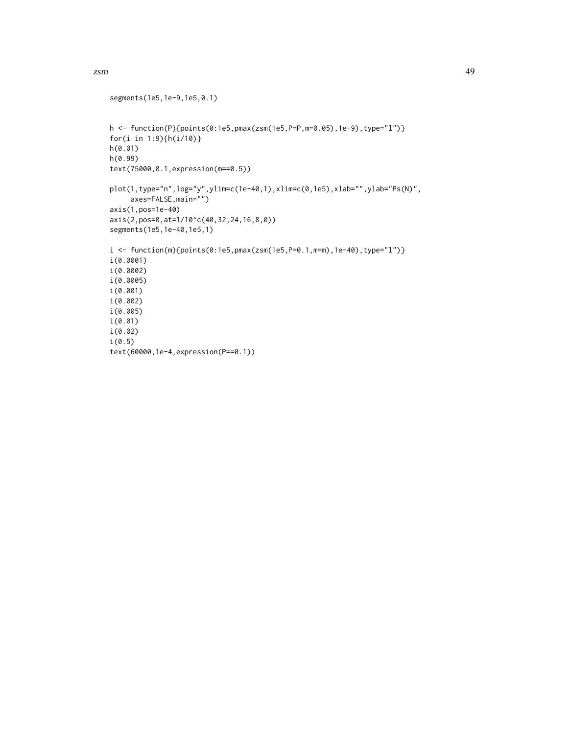```
segments(1e5,1e-9,1e5,0.1)
h <- function(P){points(0:1e5,pmax(zsm(1e5,P=P,m=0.05),1e-9),type="l")}
for(i in 1:9){h(i/10)}
h(0.01)
h(0.99)
text(75000,0.1,expression(m==0.5))
plot(1,type="n",log="y",ylim=c(1e-40,1),xlim=c(0,1e5),xlab="",ylab="Ps(N)",
     axes=FALSE,main="")
axis(1,pos=1e-40)
axis(2,pos=0,at=1/10^c(40,32,24,16,8,0))
segments(1e5,1e-40,1e5,1)
i <- function(m){points(0:1e5,pmax(zsm(1e5,P=0.1,m=m),1e-40),type="l")}
i(0.0001)
i(0.0002)
i(0.0005)
i(0.001)
i(0.002)
i(0.005)
i(0.01)
i(0.02)
i(0.5)
text(60000,1e-4,expression(P==0.1))
```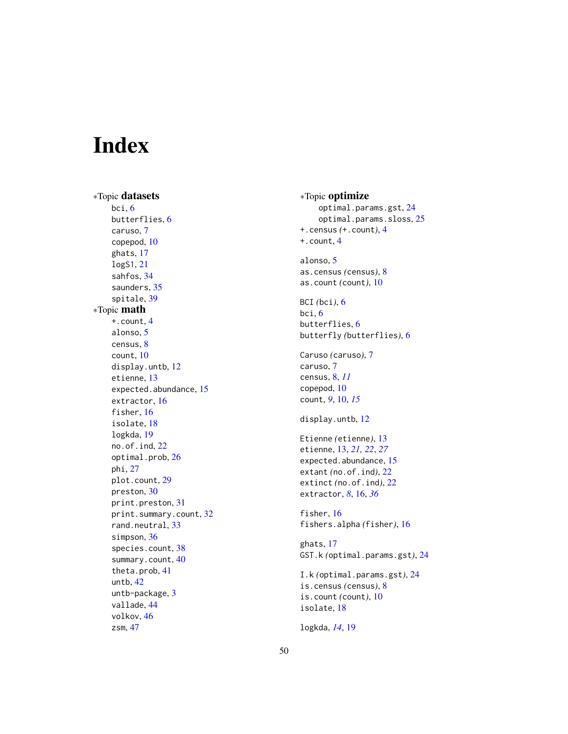# <span id="page-49-0"></span>Index

∗Topic datasets bci , [6](#page-5-0) butterflies , [6](#page-5-0) caruso , [7](#page-6-0) copepod , [10](#page-9-0) ghats , [17](#page-16-0) logS1 , [21](#page-20-0) sahfos , [34](#page-33-0) saunders, [35](#page-34-0) spitale , [39](#page-38-0) ∗Topic math +.count , [4](#page-3-0) alonso , [5](#page-4-0) census , [8](#page-7-0) count , [10](#page-9-0) display.untb , [12](#page-11-0) etienne , [13](#page-12-0) expected.abundance, [15](#page-14-0) extractor , [16](#page-15-0) fisher, [16](#page-15-0) isolate , [18](#page-17-0) logkda , [19](#page-18-0) no.of.ind , [22](#page-21-0) optimal.prob , [26](#page-25-0) phi , [27](#page-26-0) plot.count , [29](#page-28-0) preston , [30](#page-29-0) print.preston , [31](#page-30-0) print.summary.count, [32](#page-31-0) rand.neutral, [33](#page-32-0) simpson, [36](#page-35-0) species.count, [38](#page-37-0) summary.count, [40](#page-39-0) theta.prob , [41](#page-40-0) untb , [42](#page-41-0) untb-package , [3](#page-2-0) vallade , [44](#page-43-0) volkov , [46](#page-45-0) zsm , [47](#page-46-0)

∗Topic optimize optimal.params.gst , [24](#page-23-0) optimal.params.sloss, [25](#page-24-0) +.census *(*+.count *)* , [4](#page-3-0) +.count , [4](#page-3-0) alonso, <mark>[5](#page-4-0)</mark> as.census *(*census *)* , [8](#page-7-0) as.count *(*count *)* , [10](#page-9-0) BCI *(*bci *)* , [6](#page-5-0) bci , [6](#page-5-0) butterflies , [6](#page-5-0) butterfly *(*butterflies *)* , [6](#page-5-0) Caruso *(*caruso *)* , [7](#page-6-0) caruso , [7](#page-6-0) census , [8](#page-7-0) , *[11](#page-10-0)* copepod , [10](#page-9-0) count , *[9](#page-8-0)* , [10](#page-9-0) , *[15](#page-14-0)* display.untb , [12](#page-11-0) Etienne *(*etienne *)* , [13](#page-12-0) etienne , [13](#page-12-0) , *[21](#page-20-0) , [22](#page-21-0)* , *[27](#page-26-0)* expected.abundance, [15](#page-14-0) extant *(*no.of.ind *)* , [22](#page-21-0) extinct *(*no.of.ind *)* , [22](#page-21-0) extractor, [8](#page-7-0), [16](#page-15-0), [36](#page-35-0) fisher, [16](#page-15-0) fishers.alpha *(*fisher *)* , [16](#page-15-0) ghats , [17](#page-16-0) GST.k *(*optimal.params.gst *)* , [24](#page-23-0) I.k *(*optimal.params.gst *)* , [24](#page-23-0) is.census *(*census *)* , [8](#page-7-0) is.count *(*count *)* , [10](#page-9-0) isolate , [18](#page-17-0) logkda , *[14](#page-13-0)* , [19](#page-18-0)